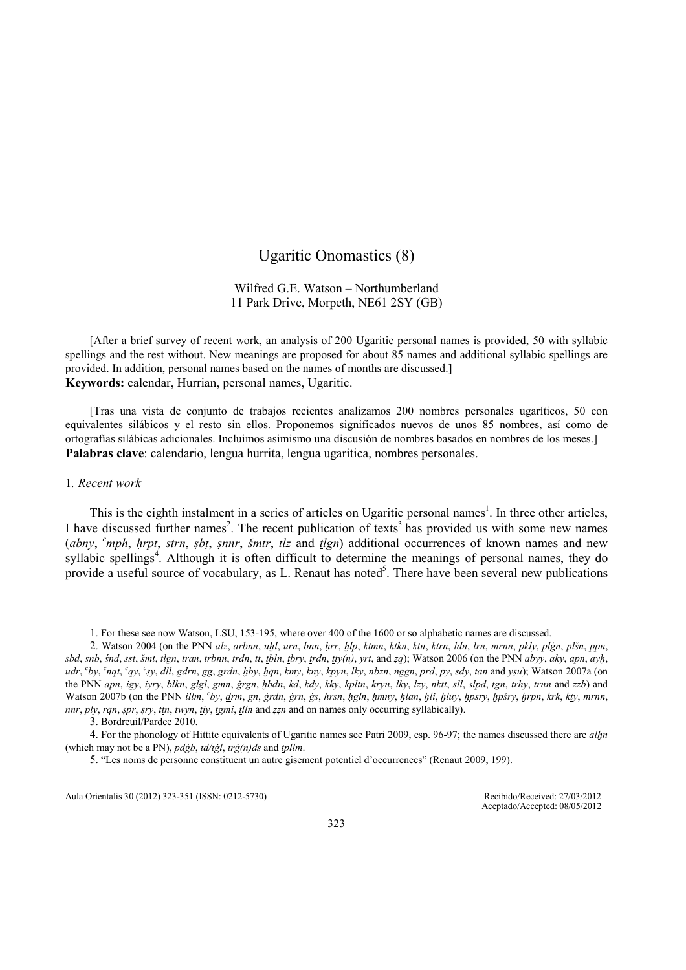# Ugaritic Onomastics (8)

# Wilfred G.E. Watson – Northumberland 11 Park Drive, Morpeth, NE61 2SY (GB)

[After a brief survey of recent work, an analysis of 200 Ugaritic personal names is provided, 50 with syllabic spellings and the rest without. New meanings are proposed for about 85 names and additional syllabic spellings are provided. In addition, personal names based on the names of months are discussed.] Keywords: calendar, Hurrian, personal names, Ugaritic.

[Tras una vista de conjunto de trabajos recientes analizamos 200 nombres personales ugaríticos, 50 con equivalentes silábicos y el resto sin ellos. Proponemos significados nuevos de unos 85 nombres, así como de ortografías silábicas adicionales. Incluimos asimismo una discusión de nombres basados en nombres de los meses.] Palabras clave: calendario, lengua hurrita, lengua ugarítica, nombres personales.

### 1. Recent work

This is the eighth instalment in a series of articles on Ugaritic personal names<sup>1</sup>. In three other articles, I have discussed further names<sup>2</sup>. The recent publication of texts<sup>3</sup> has provided us with some new names (abny,  $^c$ mph, hrpt, strn, sbt, snnr, šmtr, tlz and  $t$ lgn) additional occurrences of known names and new syllabic spellings<sup>4</sup>. Although it is often difficult to determine the meanings of personal names, they do provide a useful source of vocabulary, as L. Renaut has noted<sup>5</sup>. There have been several new publications

1. For these see now Watson, LSU, 153-195, where over 400 of the 1600 or so alphabetic names are discussed.

2. Watson 2004 (on the PNN alz, arbnn, uḫl, urn, bnn, ḥrr, ḫlp, ktmn, ktkn, ktn, ktrn, ldn, lrn, mrnn, pkly, plġn, plšn, ppn, sbd, snb, śnd, sst, šmt, tlgn, tran, trbnn, trdn, tt, tbln, tbry, trdn, tty(n), yrt, and zq); Watson 2006 (on the PNN abyy, aky, apn, ayh, udr, <sup>c</sup>by, <sup>c</sup>nqt, <sup>c</sup>qy, <sup>c</sup>sy, dll, gdrn, gg, grdn, ḫby, ḫqn, kmy, kny, kpyn, lky, nbzn, nggn, prd, py, sdy, tan and yṣu); Watson 2007a (on the PNN apn, igy, iyry, blkn, glgl, gmn, ġrgn, ḫbdn, kd, kdy, kky, kpltn, kryn, lky, lzy, nktt, sll, slpd, tgn, trhy, trnn and zzb) and Watson 2007b (on the PNN illm, 'by, <u>d</u>rm, gn, ġrdn, ġrn, ġs, hrsn, ḥgln, ḥmny, ḫlan, ḫli, ḫluy, ḫpsry, ḫpśry, ḫrpn, krk, kty, mrnn, nnr, ply, rqn, spr, sry, ttn, twyn, tiy, tgmi, tlln and zzn and on names only occurring syllabically).

4. For the phonology of Hittite equivalents of Ugaritic names see Patri 2009, esp. 96-97; the names discussed there are alln (which may not be a PN),  $pd\dot{g}b$ ,  $td/t\dot{g}l$ ,  $tr\dot{g}(n)ds$  and  $tplm$ .

Aula Orientalis 30 (2012) 323-351 (ISSN: 0212-5730) Recibido/Received: 27/03/2012

Aceptado/Accepted: 08/05/2012

<sup>3</sup>. Bordreuil/Pardee 2010.

<sup>5</sup>. "Les noms de personne constituent un autre gisement potentiel d'occurrences" (Renaut 2009, 199).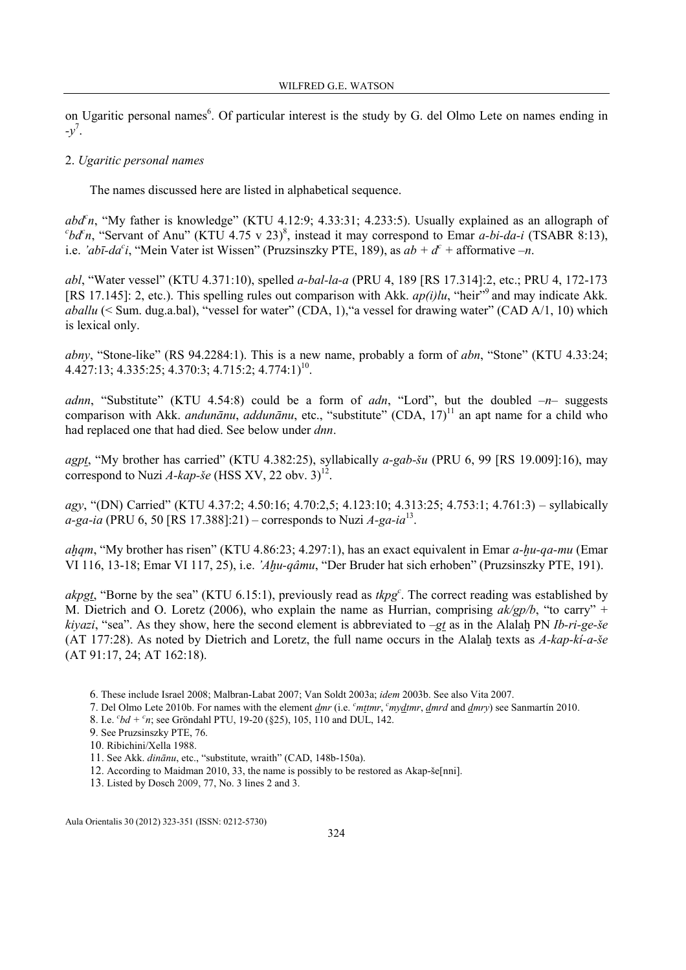on Ugaritic personal names<sup>6</sup>. Of particular interest is the study by G. del Olmo Lete on names ending in  $-y^7$ .

### 2. Ugaritic personal names

The names discussed here are listed in alphabetical sequence.

 $abd<sup>c</sup>n$ , "My father is knowledge" (KTU 4.12:9; 4.33:31; 4.233:5). Usually explained as an allograph of  $c'bd'n$ , "Servant of Anu" (KTU 4.75 v 23)<sup>8</sup>, instead it may correspond to Emar *a-bi-da-i* (TSABR 8:13), i.e. 'abī-da<sup>c</sup>i, "Mein Vater ist Wissen" (Pruzsinszky PTE, 189), as  $ab + d^c$  + afformative  $-n$ .

abl, "Water vessel" (KTU 4.371:10), spelled a-bal-la-a (PRU 4, 189 [RS 17.314]:2, etc.; PRU 4, 172-173 [RS 17.145]: 2, etc.). This spelling rules out comparison with Akk.  $ap(i)lu$ , "heir"<sup>9</sup> and may indicate Akk. aballu (< Sum. dug.a.bal), "vessel for water" (CDA, 1), "a vessel for drawing water" (CAD A/1, 10) which is lexical only.

abny, "Stone-like" (RS 94.2284:1). This is a new name, probably a form of  $abn$ , "Stone" (KTU 4.33:24;  $4.427:13$ ;  $4.335:25$ ;  $4.370:3$ ;  $4.715:2$ ;  $4.774:1$ <sup>10</sup>.

adnn, "Substitute" (KTU 4.54:8) could be a form of *adn*, "Lord", but the doubled  $-n-$  suggests comparison with Akk. *andunānu*, *addunānu*, etc., "substitute" (CDA, 17)<sup>11</sup> an apt name for a child who had replaced one that had died. See below under *dnn*.

agpt, "My brother has carried" (KTU 4.382:25), syllabically  $a$ -gab-šu (PRU 6, 99 [RS 19.009]:16), may correspond to Nuzi A-kap-še (HSS XV, 22 obv. 3)<sup>12</sup>.

agy, "(DN) Carried" (KTU 4.37:2; 4.50:16; 4.70:2,5; 4.123:10; 4.313:25; 4.753:1; 4.761:3) – syllabically *a-ga-ia* (PRU 6, 50 [RS 17.388]:21) – corresponds to Nuzi  $A$ -ga-ia<sup>13</sup>.

aham, "My brother has risen" (KTU 4.86:23: 4.297:1), has an exact equivalent in Emar a-hu-qa-mu (Emar VI 116, 13-18; Emar VI 117, 25), i.e. 'Ahu-qâmu, "Der Bruder hat sich erhoben" (Pruzsinszky PTE, 191).

akpgt, "Borne by the sea" (KTU 6.15:1), previously read as  $tkpg<sup>c</sup>$ . The correct reading was established by M. Dietrich and O. Loretz (2006), who explain the name as Hurrian, comprising  $ak/gp/b$ , "to carry" + kiyazi, "sea". As they show, here the second element is abbreviated to  $-gt$  as in the Alalaḫ PN Ib-ri-ge-še (AT 177:28). As noted by Dietrich and Loretz, the full name occurs in the Alalah texts as  $A$ -kap-ki-a-še (AT 91:17, 24; AT 162:18).

- 6. These include Israel 2008; Malbran-Labat 2007; Van Soldt 2003a; idem 2003b. See also Vita 2007.
- 7. Del Olmo Lete 2010b. For names with the element  $\frac{dmr}{dmr}$  (i.e.  $\frac{c}{m}$ tmr,  $\frac{dmr}{dmr}$ ,  $\frac{dmrd}{dmr}$  and  $\frac{dmr}{dmr}$ ) see Sanmartín 2010.
- 8. I.e.  $^{c}bd + ^{c}n$ ; see Gröndahl PTU, 19-20 (§25), 105, 110 and DUL, 142.
- 9. See Pruzsinszky PTE, 76.
- 10. Ribichini/Xella 1988.
- 11. See Akk. dinānu, etc., "substitute, wraith" (CAD, 148b-150a).
- 12. According to Maidman 2010, 33, the name is possibly to be restored as Akap-še[nni].
- 13. Listed by Dosch 2009, 77, No. 3 lines 2 and 3.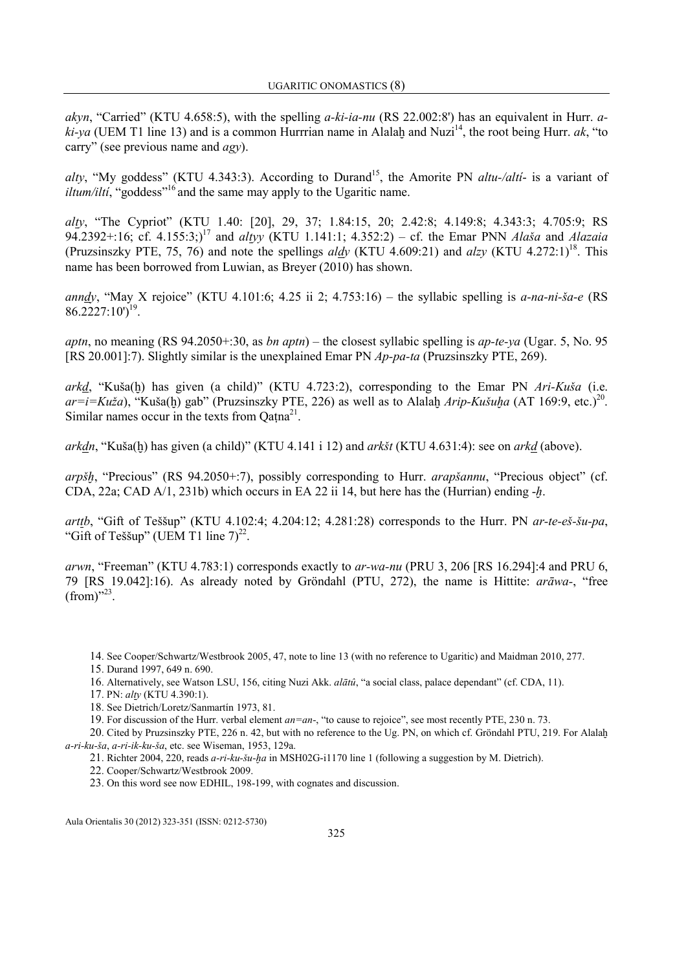akyn, "Carried" (KTU 4.658:5), with the spelling  $a$ -ki-ia-nu (RS 22.002:8') has an equivalent in Hurr.  $a$ ki-ya (UEM T1 line 13) and is a common Hurrrian name in Alalah and Nuzi<sup>14</sup>, the root being Hurr. ak, "to carry" (see previous name and agy).

alty, "My goddess" (KTU 4.343:3). According to Durand<sup>15</sup>, the Amorite PN *altu-/alti*- is a variant of *iltum/ilti*, "goddess"<sup>16</sup> and the same may apply to the Ugaritic name.

alty, "The Cypriot" (KTU 1.40: [20], 29, 37; 1.84:15, 20; 2.42:8; 4.149:8; 4.343:3; 4.705:9; RS 94.2392+:16; cf. 4.155:3;)<sup>17</sup> and *altyy* (KTU 1.141:1; 4.352:2) – cf. the Emar PNN *Alaša* and *Alazaia* (Pruzsinszky PTE, 75, 76) and note the spellings *aldy* (KTU 4.609:21) and *alzy* (KTU 4.272:1)<sup>18</sup>. This name has been borrowed from Luwian, as Breyer (2010) has shown.

anndy, "May X rejoice" (KTU 4.101:6; 4.25 ii 2; 4.753:16) – the syllabic spelling is a-na-ni-ša-e (RS  $86.2227:10^{19}$ .

*aptn*, no meaning (RS 94.2050+:30, as *bn aptn*) – the closest syllabic spelling is *ap-te-ya* (Ugar. 5, No. 95) [RS 20.001]:7). Slightly similar is the unexplained Emar PN Ap-pa-ta (Pruzsinszky PTE, 269).

arkd. "Kuša(h) has given (a child)" (KTU 4.723:2), corresponding to the Emar PN  $Ari-Kuša$  (i.e.  $ar=i=Ku\check{z}a$ , "Kuša(ḫ) gab" (Pruzsinszky PTE, 226) as well as to Alalaḫ  $Arip-Ku\check{s}u\check{h}a$  (AT 169:9, etc.)<sup>20</sup>. Similar names occur in the texts from  $Qatna^{21}$ .

 $arkdn$ , "Kuša(h) has given (a child)" (KTU 4.141 i 12) and  $ark\zeta t$  (KTU 4.631:4): see on  $arkd$  (above).

arpšh, "Precious" (RS 94.2050+:7), possibly corresponding to Hurr. arapšannu, "Precious object" (cf. CDA, 22a; CAD A/1, 231b) which occurs in EA 22 ii 14, but here has the (Hurrian) ending  $-h$ .

arttb, "Gift of Teššup" (KTU 4.102:4; 4.204:12; 4.281:28) corresponds to the Hurr. PN ar-te-eš-šu-pa, "Gift of Teššup" (UEM T1 line  $7)^{22}$ .

arwn, "Freeman" (KTU 4.783:1) corresponds exactly to ar-wa-nu (PRU 3, 206 [RS 16.294]:4 and PRU 6, 79 [RS 19.042]:16). As already noted by Gröndahl (PTU, 272), the name is Hittite: arāwa-, "free  $(from)^{3,23}$ .

14. See Cooper/Schwartz/Westbrook 2005, 47, note to line 13 (with no reference to Ugaritic) and Maidman 2010, 277.

15. Durand 1997, 649 n. 690.

16. Alternatively, see Watson LSU, 156, citing Nuzi Akk. alātû, "a social class, palace dependant" (cf. CDA, 11).

17. PN: alty (KTU 4.390:1).

18. See Dietrich/Loretz/Sanmartín 1973, 81.

19. For discussion of the Hurr. verbal element an=an-, "to cause to rejoice", see most recently PTE, 230 n. 73.

20. Cited by Pruzsinszky PTE, 226 n. 42, but with no reference to the Ug. PN, on which cf. Gröndahl PTU, 219. For Alalaḫ a-ri-ku-ša, a-ri-ik-ku-ša, etc. see Wiseman, 1953, 129a.

21. Richter 2004, 220, reads a-ri-ku-šu-ḫa in MSH02G-i1170 line 1 (following a suggestion by M. Dietrich).

22. Cooper/Schwartz/Westbrook 2009.

23. On this word see now EDHIL, 198-199, with cognates and discussion.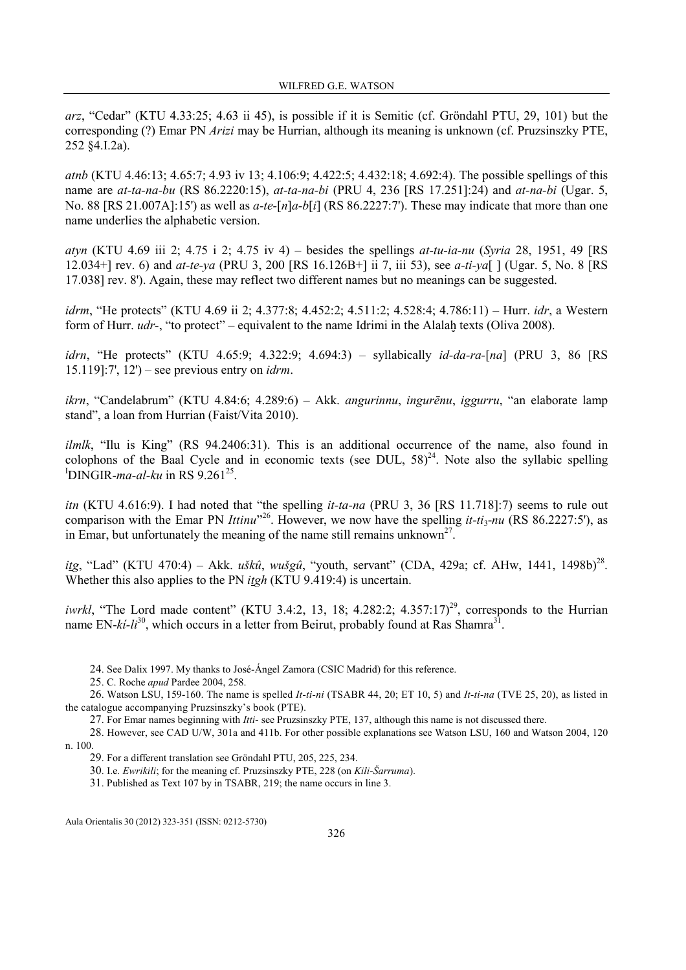arz, "Cedar" (KTU 4.33:25; 4.63 ii 45), is possible if it is Semitic (cf. Gröndahl PTU, 29, 101) but the corresponding (?) Emar PN Arizi may be Hurrian, although its meaning is unknown (cf. Pruzsinszky PTE, 252 §4.I.2a).

atnb (KTU 4.46:13; 4.65:7; 4.93 iv 13; 4.106:9; 4.422:5; 4.432:18; 4.692:4). The possible spellings of this name are at-ta-na-bu (RS 86.2220:15), at-ta-na-bi (PRU 4, 236 [RS 17.251]:24) and at-na-bi (Ugar. 5, No. 88 [RS 21.007A]:15') as well as *a-te-*[n]*a-b*[i] (RS 86.2227:7'). These may indicate that more than one name underlies the alphabetic version.

atyn (KTU 4.69 iii 2; 4.75 i 2; 4.75 iv 4) – besides the spellings at-tu-ia-nu (Syria 28, 1951, 49 [RS 12.034+] rev. 6) and at-te-ya (PRU 3, 200 [RS 16.126B+] ii 7, iii 53), see a-ti-ya[ ] (Ugar. 5, No. 8 [RS 17.038] rev. 8'). Again, these may reflect two different names but no meanings can be suggested.

idrm, "He protects" (KTU 4.69 ii 2; 4.377:8; 4.452:2; 4.511:2; 4.528:4; 4.786:11) – Hurr. idr, a Western form of Hurr.  $udr$ -, "to protect" – equivalent to the name Idrimi in the Alalah texts (Oliva 2008).

idrn, "He protects" (KTU 4.65:9; 4.322:9; 4.694:3) – syllabically id-da-ra-[na] (PRU 3, 86 [RS 15.119]:7',  $12'$ ) – see previous entry on *idrm*.

ikrn, "Candelabrum" (KTU 4.84:6; 4.289:6) – Akk. angurinnu, ingurēnu, iggurru, "an elaborate lamp stand", a loan from Hurrian (Faist/Vita 2010).

ilmlk, "Ilu is King" (RS 94.2406:31). This is an additional occurrence of the name, also found in colophons of the Baal Cycle and in economic texts (see DUL,  $58$ )<sup>24</sup>. Note also the syllabic spelling <sup>I</sup>DINGIR-ma-al-ku in RS  $9.261^{25}$ .

itn (KTU 4.616:9). I had noted that "the spelling it-ta-na (PRU 3, 36 [RS 11.718]:7) seems to rule out comparison with the Emar PN *Ittinu*<sup>26</sup>. However, we now have the spelling *it-ti<sub>3</sub>-nu* (RS 86.2227:5'), as in Emar, but unfortunately the meaning of the name still remains unknown<sup>27</sup>.

itg, "Lad" (KTU 470:4) – Akk. uškû, wušgû, "youth, servant" (CDA, 429a; cf. AHw, 1441, 1498b)<sup>28</sup>. Whether this also applies to the PN *itgh* (KTU 9.419:4) is uncertain.

*iwrkl*, "The Lord made content" (KTU 3.4:2, 13, 18; 4.282:2; 4.357:17)<sup>29</sup>, corresponds to the Hurrian name EN- $ki$ - $li^{30}$ , which occurs in a letter from Beirut, probably found at Ras Shamra<sup>31</sup>.

24. See Dalix 1997. My thanks to José-Ángel Zamora (CSIC Madrid) for this reference.

25. C. Roche apud Pardee 2004, 258.

26. Watson LSU, 159-160. The name is spelled *It-ti-ni* (TSABR 44, 20; ET 10, 5) and *It-ti-na* (TVE 25, 20), as listed in the catalogue accompanying Pruzsinszky's book (PTE).

27. For Emar names beginning with Itti- see Pruzsinszky PTE, 137, although this name is not discussed there.

28. However, see CAD U/W, 301a and 411b. For other possible explanations see Watson LSU, 160 and Watson 2004, 120 n. 100.

29. For a different translation see Gröndahl PTU, 205, 225, 234.

30. I.e. Ewrikili; for the meaning cf. Pruzsinszky PTE, 228 (on Kili-Šarruma).

31. Published as Text 107 by in TSABR, 219; the name occurs in line 3.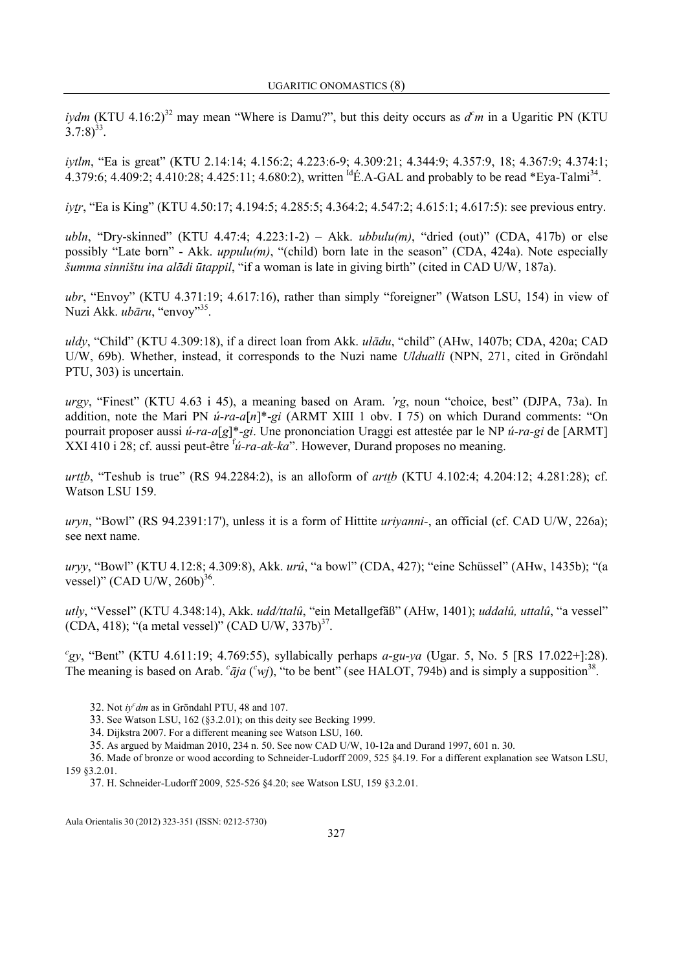iydm (KTU 4.16:2)<sup>32</sup> may mean "Where is Damu?", but this deity occurs as  $d<sup>c</sup>m$  in a Ugaritic PN (KTU  $(3.7:8)^{33}$ .

iytlm, "Ea is great" (KTU 2.14:14; 4.156:2; 4.223:6-9; 4.309:21; 4.344:9; 4.357:9, 18; 4.367:9; 4.374:1; 4.379:6; 4.409:2; 4.410:28; 4.425:11; 4.680:2), written <sup>Id</sup>É.A-GAL and probably to be read \*Eya-Talmi<sup>34</sup>.

iytr, "Ea is King" (KTU 4.50:17; 4.194:5; 4.285:5; 4.364:2; 4.547:2; 4.615:1; 4.617:5): see previous entry.

ubln, "Dry-skinned" (KTU 4.47:4; 4.223:1-2) – Akk. ubbulu(m), "dried (out)" (CDA, 417b) or else possibly "Late born" - Akk. *uppulu(m)*, "(child) born late in the season" (CDA, 424a). Note especially šumma sinništu ina alādi ūtappil, "if a woman is late in giving birth" (cited in CAD U/W, 187a).

ubr, "Envoy" (KTU 4.371:19; 4.617:16), rather than simply "foreigner" (Watson LSU, 154) in view of Nuzi Akk. *ubāru*, "envoy"<sup>35</sup>.

uldy, "Child" (KTU 4.309:18), if a direct loan from Akk. ulādu, "child" (AHw, 1407b; CDA, 420a; CAD U/W, 69b). Whether, instead, it corresponds to the Nuzi name Uldualli (NPN, 271, cited in Gröndahl PTU, 303) is uncertain.

urgy, "Finest" (KTU 4.63 i 45), a meaning based on Aram. 'rg, noun "choice, best" (DJPA, 73a). In addition, note the Mari PN  $\acute{u}$ -ra-a[n]\*-gi (ARMT XIII 1 obv. I 75) on which Durand comments: "On pourrait proposer aussi ú-ra-a[g]\*-gi. Une prononciation Uraggi est attestée par le NP ú-ra-gi de [ARMT] XXI 410 i 28; cf. aussi peut-être  $\hat{u}$ -ra-ak-ka". However, Durand proposes no meaning.

urttb, "Teshub is true" (RS 94.2284:2), is an alloform of *arttb* (KTU 4.102:4; 4.204:12; 4.281:28); cf. Watson LSU 159.

uryn, "Bowl" (RS 94.2391:17'), unless it is a form of Hittite *uriyanni*-, an official (cf. CAD U/W, 226a); see next name.

uryy, "Bowl" (KTU 4.12:8; 4.309:8), Akk. urû, "a bowl" (CDA, 427); "eine Schüssel" (AHw, 1435b); "(a vessel)" (CAD U/W, 260b) $^{36}$ .

utly, "Vessel" (KTU 4.348:14), Akk. udd/ttalû, "ein Metallgefäß" (AHw, 1401); uddalû, uttalû, "a vessel"  $(CDA, 418)$ ; "(a metal vessel)"  $(CAD U/W, 337b)^{37}$ .

"gy, "Bent" (KTU 4.611:19; 4.769:55), syllabically perhaps  $a$ -gu-ya (Ugar. 5, No. 5 [RS 17.022+]:28). The meaning is based on Arab.  $c\bar{a}ja$  ( $c\bar{w}j$ ), "to be bent" (see HALOT, 794b) and is simply a supposition<sup>38</sup>.

32. Not  $iy^{\mathcal{C}}dm$  as in Gröndahl PTU, 48 and 107.

33. See Watson LSU, 162 (§3.2.01); on this deity see Becking 1999.

34. Dijkstra 2007. For a different meaning see Watson LSU, 160.

35. As argued by Maidman 2010, 234 n. 50. See now CAD U/W, 10-12a and Durand 1997, 601 n. 30.

36. Made of bronze or wood according to Schneider-Ludorff 2009, 525 §4.19. For a different explanation see Watson LSU, 159 §3.2.01.

37. H. Schneider-Ludorff 2009, 525-526 §4.20; see Watson LSU, 159 §3.2.01.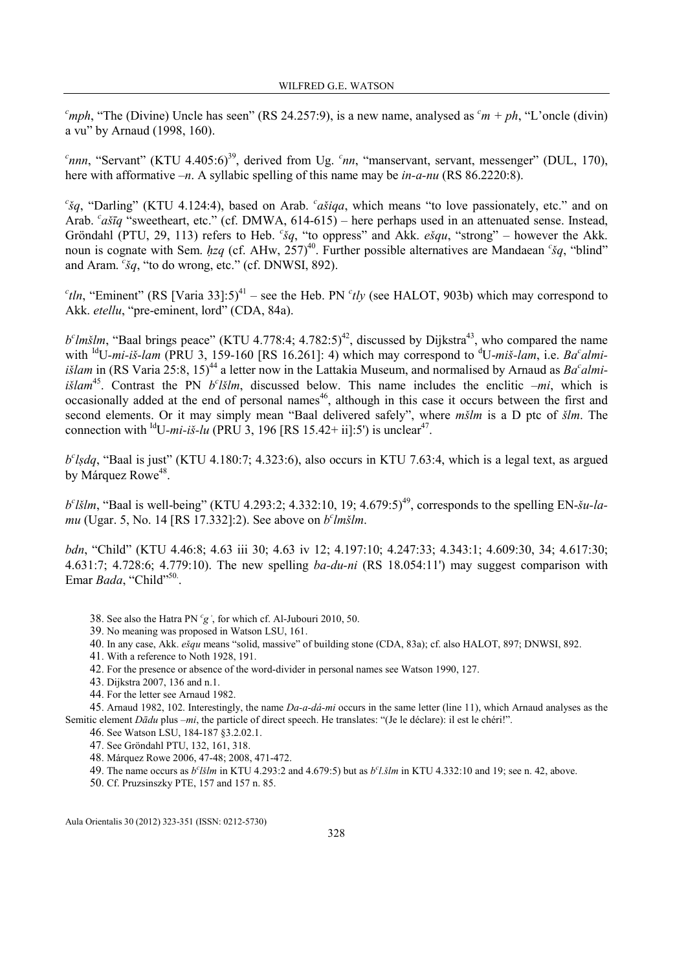$\epsilon$ <sup>mph</sup>, "The (Divine) Uncle has seen" (RS 24.257:9), is a new name, analysed as  $\epsilon$ <sup>m</sup> + ph, "L'oncle (divin) a vu" by Arnaud (1998, 160).

<sup>c</sup>nnn, "Servant" (KTU 4.405:6)<sup>39</sup>, derived from Ug. <sup>c</sup>nn, "manservant, servant, messenger" (DUL, 170), here with afformative  $-n$ . A syllabic spelling of this name may be *in-a-nu* (RS 86.2220:8).

 ${}^c$ šq, "Darling" (KTU 4.124:4), based on Arab.  ${}^c$ ašiqa, which means "to love passionately, etc." and on Arab. <sup>c</sup>ašīq "sweetheart, etc." (cf. DMWA, 614-615) – here perhaps used in an attenuated sense. Instead, Gröndahl (PTU, 29, 113) refers to Heb.  ${}^{c}$ sq, "to oppress" and Akk. *esqu*, "strong" – however the Akk. noun is cognate with Sem.  $hzq$  (cf. AHw, 257)<sup>40</sup>. Further possible alternatives are Mandaean  $\zeta q$ , "blind" and Aram.  $\epsilon$ š $q$ , "to do wrong, etc." (cf. DNWSI, 892).

<sup>c</sup>tln, "Eminent" (RS [Varia 33]:5)<sup>41</sup> – see the Heb. PN <sup>c</sup>tly (see HALOT, 903b) which may correspond to Akk. etellu, "pre-eminent, lord" (CDA, 84a).

 $b<sup>c</sup>$ *lmšlm*, "Baal brings peace" (KTU 4.778:4; 4.782:5)<sup>42</sup>, discussed by Dijkstra<sup>43</sup>, who compared the name with <sup>Id</sup>U-mi-iš-lam (PRU 3, 159-160 [RS 16.261]: 4) which may correspond to <sup>d</sup>U-miš-lam, i.e. Ba<sup>c</sup>almi*išlam* in (RS Varia 25:8, 15)<sup>44</sup> a letter now in the Lattakia Museum, and normalised by Arnaud as  $Ba<sup>c</sup>almi$ išlam<sup>45</sup>. Contrast the PN  $b^c$ *lšlm*, discussed below. This name includes the enclitic  $-mi$ , which is occasionally added at the end of personal names<sup>46</sup>, although in this case it occurs between the first and second elements. Or it may simply mean "Baal delivered safely", where *mšlm* is a D ptc of *šlm*. The connection with <sup>Id</sup>U-mi-iš-lu (PRU 3, 196 [RS 15.42+ ii]:5') is unclear<sup>47</sup>.

 $b^c$ lsdq, "Baal is just" (KTU 4.180:7; 4.323:6), also occurs in KTU 7.63:4, which is a legal text, as argued by Márquez Rowe<sup>48</sup>.

 $b^c l \ddot{s}lm$ , "Baal is well-being" (KTU 4.293:2; 4.332:10, 19; 4.679:5)<sup>49</sup>, corresponds to the spelling EN- $\ddot{s}u$ -lamu (Ugar. 5, No. 14 [RS 17.332]:2). See above on  $b^c$ lmšlm.

bdn, "Child" (KTU 4.46:8; 4.63 iii 30; 4.63 iv 12; 4.197:10; 4.247:33; 4.343:1; 4.609:30, 34; 4.617:30; 4.631:7; 4.728:6; 4.779:10). The new spelling  $ba\text{-}du\text{-}ni$  (RS 18.054:11') may suggest comparison with Emar Bada, "Child"<sup>50</sup>.

- 38. See also the Hatra PN  ${}^{c}g$ <sup>'</sup>, for which cf. Al-Jubouri 2010, 50.
- 39. No meaning was proposed in Watson LSU, 161.
- 40. In any case, Akk. ešqu means "solid, massive" of building stone (CDA, 83a); cf. also HALOT, 897; DNWSI, 892.
- 41. With a reference to Noth 1928, 191.
- 42. For the presence or absence of the word-divider in personal names see Watson 1990, 127.
- 43. Dijkstra 2007, 136 and n.1.
- 44. For the letter see Arnaud 1982.

45. Arnaud 1982, 102. Interestingly, the name Da-a-dá-mi occurs in the same letter (line 11), which Arnaud analyses as the Semitic element Dādu plus –mi, the particle of direct speech. He translates: "(Je le déclare): il est le chéri!".

- 46. See Watson LSU, 184-187 §3.2.02.1.
- 47. See Gröndahl PTU, 132, 161, 318.
- 48. Márquez Rowe 2006, 47-48; 2008, 471-472.
- 49. The name occurs as  $b^c l \ddot{s} l m$  in KTU 4.293:2 and 4.679:5) but as  $b^c l \ddot{s} l m$  in KTU 4.332:10 and 19; see n. 42, above.

50. Cf. Pruzsinszky PTE, 157 and 157 n. 85.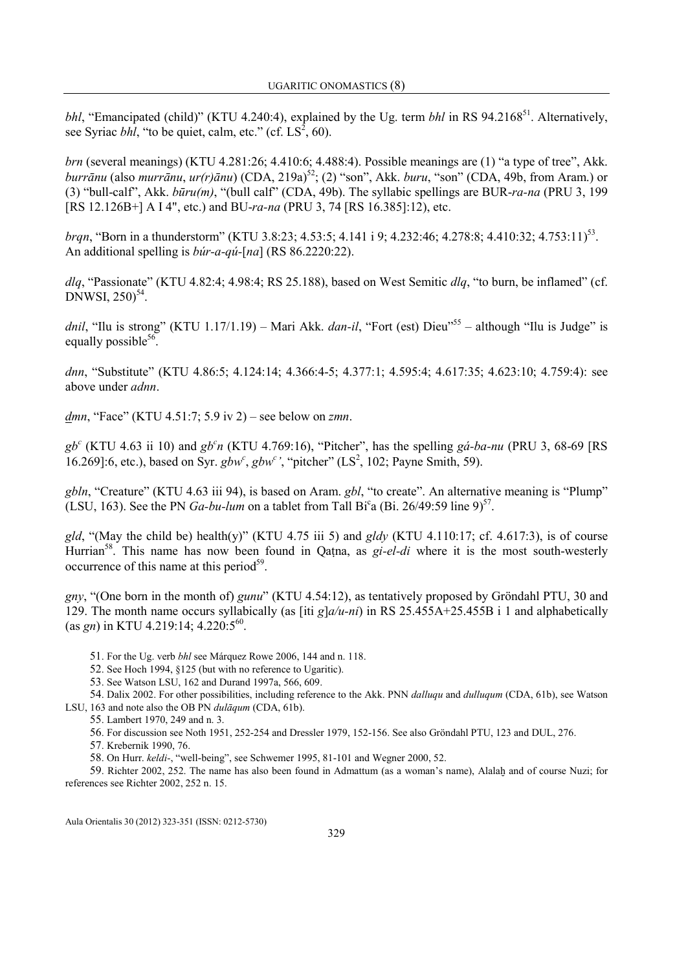bhl, "Emancipated (child)" (KTU 4.240:4), explained by the Ug. term bhl in RS 94.2168<sup>51</sup>. Alternatively, see Syriac *bhl*, "to be quiet, calm, etc." (cf.  $LS^2$ , 60).

brn (several meanings) (KTU 4.281:26; 4.410:6; 4.488:4). Possible meanings are (1) "a type of tree", Akk. burrānu (also murrānu,  $ur(r)$ ānu) (CDA, 219a)<sup>52</sup>; (2) "son", Akk. buru, "son" (CDA, 49b, from Aram.) or (3) "bull-calf", Akk. būru(m), "(bull calf" (CDA, 49b). The syllabic spellings are BUR-ra-na (PRU 3, 199 [RS 12.126B+] A I 4", etc.) and BU-ra-na (PRU 3, 74 [RS 16.385]:12), etc.

brqn, "Born in a thunderstorm" (KTU 3.8:23; 4.53:5; 4.141 i 9; 4.232:46; 4.278:8; 4.410:32; 4.753:11)<sup>53</sup>. An additional spelling is *búr-a-qú-*[na] (RS 86.2220:22).

 $dlg$ , "Passionate" (KTU 4.82:4; 4.98:4; RS 25.188), based on West Semitic  $dlg$ , "to burn, be inflamed" (cf.  $DNWSI, 250$ <sup>54</sup>.

dnil, "Ilu is strong" (KTU 1.17/1.19) – Mari Akk. dan-il, "Fort (est) Dieu"<sup>55</sup> – although "Ilu is Judge" is equally possible<sup>56</sup>.

dnn, "Substitute" (KTU 4.86:5; 4.124:14; 4.366:4-5; 4.377:1; 4.595:4; 4.617:35; 4.623:10; 4.759:4): see above under adnn.

dmn, "Face" (KTU 4.51:7; 5.9 iv 2) – see below on zmn.

 $gb<sup>c</sup>$  (KTU 4.63 ii 10) and  $gb<sup>c</sup>n$  (KTU 4.769:16), "Pitcher", has the spelling  $gá-ba-nu$  (PRU 3, 68-69 [RS 16.269]:6, etc.), based on Syr.  $gbw^c$ ,  $gbw^c$ , "pitcher" (LS<sup>2</sup>, 102; Payne Smith, 59).

gbln, "Creature" (KTU 4.63 iii 94), is based on Aram. gbl, "to create". An alternative meaning is "Plump" (LSU, 163). See the PN  $Ga-bu-lum$  on a tablet from Tall Bi<sup>c</sup>a (Bi. 26/49:59 line 9)<sup>57</sup>.

gld, "(May the child be) health(y)" (KTU 4.75 iii 5) and gldy (KTU 4.110:17; cf. 4.617:3), is of course Hurrian<sup>58</sup>. This name has now been found in Qatna, as  $qi$ -el-di where it is the most south-westerly occurrence of this name at this period<sup>59</sup>.

gny, "(One born in the month of) gunu" (KTU 4.54:12), as tentatively proposed by Gröndahl PTU, 30 and 129. The month name occurs syllabically (as [iti g] $a/u-ni$ ) in RS 25.455A+25.455B i 1 and alphabetically (as *gn*) in KTU 4.219:14;  $4.220:5^{60}$ .

51. For the Ug. verb bhl see Márquez Rowe 2006, 144 and n. 118.

52. See Hoch 1994, §125 (but with no reference to Ugaritic).

53. See Watson LSU, 162 and Durand 1997a, 566, 609.

54. Dalix 2002. For other possibilities, including reference to the Akk. PNN *dalluqu* and *dulluqum* (CDA, 61b), see Watson LSU, 163 and note also the OB PN dulāqum (CDA, 61b).

55. Lambert 1970, 249 and n. 3.

56. For discussion see Noth 1951, 252-254 and Dressler 1979, 152-156. See also Gröndahl PTU, 123 and DUL, 276.

57. Krebernik 1990, 76.

58. On Hurr. keldi-, "well-being", see Schwemer 1995, 81-101 and Wegner 2000, 52.

59. Richter 2002, 252. The name has also been found in Admattum (as a woman's name), Alalah and of course Nuzi; for references see Richter 2002, 252 n. 15.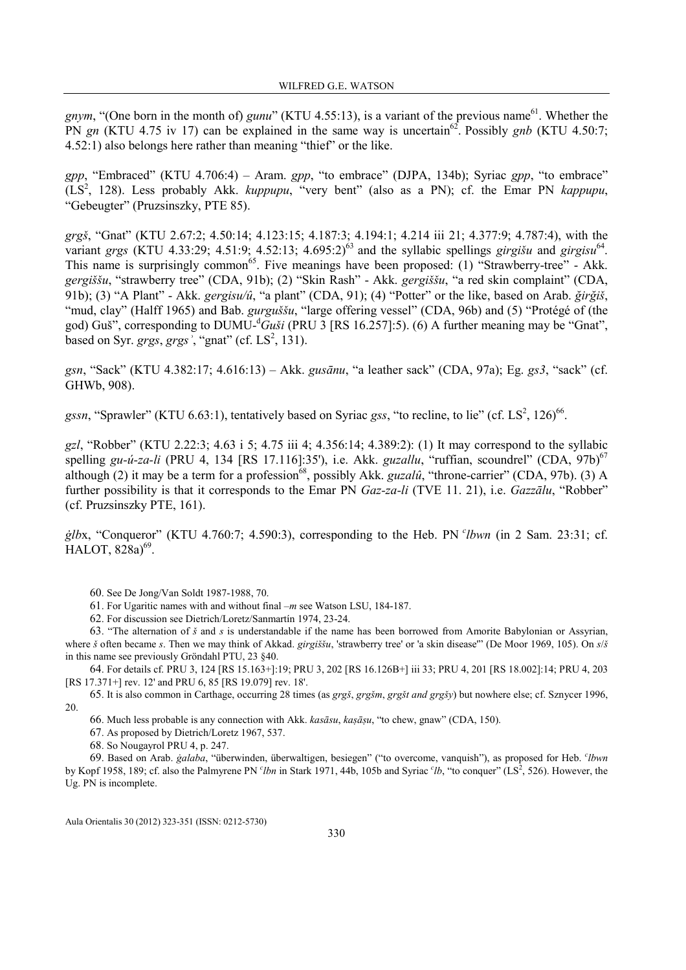gnym, "(One born in the month of) gunu" (KTU 4.55:13), is a variant of the previous name<sup>61</sup>. Whether the PN gn (KTU 4.75 iv 17) can be explained in the same way is uncertain<sup>62</sup>. Possibly gnb (KTU 4.50:7; 4.52:1) also belongs here rather than meaning "thief" or the like.

gpp, "Embraced" (KTU 4.706:4) – Aram. gpp, "to embrace" (DJPA, 134b); Syriac gpp, "to embrace"  $(LS<sup>2</sup>, 128)$ . Less probably Akk. *kuppupu*, "very bent" (also as a PN); cf. the Emar PN kappupu, "Gebeugter" (Pruzsinszky, PTE 85).

grgš, "Gnat" (KTU 2.67:2; 4.50:14; 4.123:15; 4.187:3; 4.194:1; 4.214 iii 21; 4.377:9; 4.787:4), with the variant grgs (KTU 4.33:29; 4.51:9; 4.52:13; 4.695:2)<sup>63</sup> and the syllabic spellings girgišu and girgisu<sup>64</sup>. This name is surprisingly common<sup>65</sup>. Five meanings have been proposed: (1) "Strawberry-tree" - Akk. gergiššu, "strawberry tree" (CDA, 91b); (2) "Skin Rash" - Akk. gergiššu, "a red skin complaint" (CDA, 91b); (3) "A Plant" - Akk. gergisu/û, "a plant" (CDA, 91); (4) "Potter" or the like, based on Arab. ğirğiš, "mud, clay" (Halff 1965) and Bab. gurguššu, "large offering vessel" (CDA, 96b) and (5) "Protégé of (the god) Guš", corresponding to DUMU-<sup>d</sup>Guši (PRU 3 [RS 16.257]:5). (6) A further meaning may be "Gnat", based on Syr. grgs, grgs<sup>3</sup>, "gnat" (cf.  $LS<sup>2</sup>$ , 131).

gsn, "Sack" (KTU 4.382:17; 4.616:13) – Akk. gusānu, "a leather sack" (CDA, 97a); Eg. gs3, "sack" (cf. GHWb, 908).

gssn, "Sprawler" (KTU 6.63:1), tentatively based on Syriac gss, "to recline, to lie" (cf. LS<sup>2</sup>, 126)<sup>66</sup>.

gzl, "Robber" (KTU 2.22:3; 4.63 i 5; 4.75 iii 4; 4.356:14; 4.389:2): (1) It may correspond to the syllabic spelling gu-ú-za-li (PRU 4, 134 [RS 17.116]:35'), i.e. Akk. guzallu, "ruffian, scoundrel" (CDA,  $97b$ )<sup>67</sup> although (2) it may be a term for a profession<sup>68</sup>, possibly Akk. *guzalû*, "throne-carrier" (CDA, 97b). (3) A further possibility is that it corresponds to the Emar PN Gaz-za-li (TVE 11. 21), i.e. Gazzālu, "Robber" (cf. Pruzsinszky PTE, 161).

 $g/bx$ , "Conqueror" (KTU 4.760:7; 4.590:3), corresponding to the Heb. PN  $\ell$  bwn (in 2 Sam. 23:31; cf. HALOT, 828a)<sup>69</sup>.

60. See De Jong/Van Soldt 1987-1988, 70.

61. For Ugaritic names with and without final –m see Watson LSU, 184-187.

62. For discussion see Dietrich/Loretz/Sanmartín 1974, 23-24.

63. "The alternation of  $\zeta$  and  $\zeta$  is understandable if the name has been borrowed from Amorite Babylonian or Assyrian, where š often became s. Then we may think of Akkad. girgiššu, 'strawberry tree' or 'a skin disease'" (De Moor 1969, 105). On s/š in this name see previously Gröndahl PTU, 23 §40.

64. For details cf. PRU 3, 124 [RS 15.163+]:19; PRU 3, 202 [RS 16.126B+] iii 33; PRU 4, 201 [RS 18.002]:14; PRU 4, 203 [RS 17.371+] rev. 12' and PRU 6, 85 [RS 19.079] rev. 18'.

65. It is also common in Carthage, occurring 28 times (as grgš, grgšm, grgšt and grgšy) but nowhere else; cf. Sznycer 1996, 20.

66. Much less probable is any connection with Akk. kasāsu, kaṣāṣu, "to chew, gnaw" (CDA, 150).

67. As proposed by Dietrich/Loretz 1967, 537.

68. So Nougayrol PRU 4, p. 247.

69. Based on Arab. *ġalaba*, "überwinden, überwaltigen, besiegen" ("to overcome, vanquish"), as proposed for Heb. *'lbwn* by Kopf 1958, 189; cf. also the Palmyrene PN  $^c$ *lbn* in Stark 1971, 44b, 105b and Syriac  $^c$ *lb*, "to conquer" (LS<sup>2</sup>, 526). However, the Ug. PN is incomplete.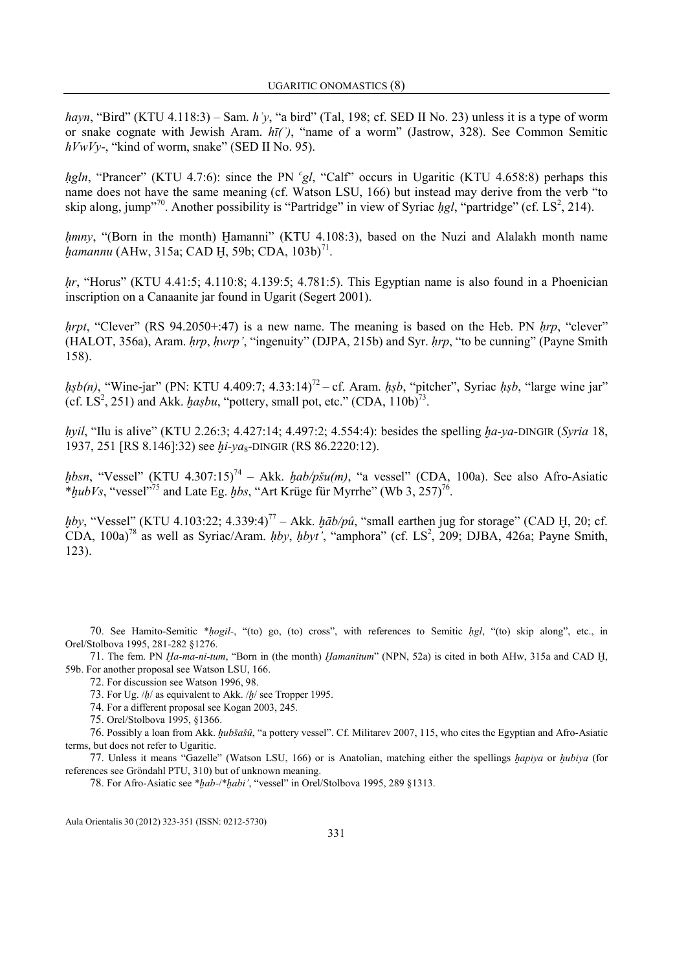hayn, "Bird" (KTU 4.118:3) – Sam. h y, "a bird" (Tal, 198; cf. SED II No. 23) unless it is a type of worm or snake cognate with Jewish Aram.  $h\bar{t}$ <sup>2</sup>), "name of a worm" (Jastrow, 328). See Common Semitic  $hVwVv$ -, "kind of worm, snake" (SED II No. 95).

hgln, "Prancer" (KTU 4.7:6): since the PN  $^cgl$ , "Calf" occurs in Ugaritic (KTU 4.658:8) perhaps this name does not have the same meaning (cf. Watson LSU, 166) but instead may derive from the verb "to skip along, jump<sup>"70</sup>. Another possibility is "Partridge" in view of Syriac  $hgl$ , "partridge" (cf. LS<sup>2</sup>, 214).

 $h$ mny, "(Born in the month) Hamanni" (KTU 4.108:3), based on the Nuzi and Alalakh month name  $\eta$ amannu (AHw, 315a; CAD H, 59b; CDA, 103b)<sup>71</sup>.

 $hr$ , "Horus" (KTU 4.41:5; 4.110:8; 4.139:5; 4.781:5). This Egyptian name is also found in a Phoenician inscription on a Canaanite jar found in Ugarit (Segert 2001).

*hrpt*, "Clever" (RS 94.2050+:47) is a new name. The meaning is based on the Heb. PN  $hrp$ , "clever" (HALOT, 356a), Aram. *hrp, hwrp'*, "ingenuity" (DJPA, 215b) and Syr. *hrp*, "to be cunning" (Payne Smith 158).

 $h_s b(n)$ , "Wine-jar" (PN: KTU 4.409:7; 4.33:14)<sup>72</sup> – cf. Aram.  $h_s b$ , "pitcher", Syriac  $h_s b$ , "large wine jar" (cf. LS<sup>2</sup>, 251) and Akk. has bu, "pottery, small pot, etc." (CDA,  $110b)^{73}$ .

hyil, "Ilu is alive" (KTU 2.26:3; 4.427:14; 4.497:2; 4.554:4): besides the spelling ha-ya-DINGIR (Syria 18, 1937, 251 [RS 8.146]:32) see  $hi$ -ya<sub>8</sub>-DINGIR (RS 86.2220:12).

 $hbsn$ , "Vessel" (KTU 4.307:15)<sup>74</sup> – Akk.  $hab/p\check{s}u(m)$ , "a vessel" (CDA, 100a). See also Afro-Asiatic \* $hubVs$ , "vessel"<sup>75</sup> and Late Eg.  $hbs$ , "Art Krüge für Myrrhe" (Wb 3, 257)<sup>76</sup>.

hby, "Vessel" (KTU 4.103:22; 4.339:4)<sup>77</sup> – Akk.  $h\bar{a}b/p\hat{u}$ , "small earthen jug for storage" (CAD H, 20; cf. CDA,  $100a$ <sup>78</sup> as well as Syriac/Aram. hby, hbyt', "amphora" (cf. LS<sup>2</sup>, 209; DJBA, 426a; Payne Smith, 123).

70. See Hamito-Semitic \*hogil-, "(to) go, (to) cross", with references to Semitic hgl, "(to) skip along", etc., in Orel/Stolbova 1995, 281-282 §1276.

71. The fem. PN *Ha-ma-ni-tum*, "Born in (the month) *Hamanitum*" (NPN, 52a) is cited in both AHw, 315a and CAD H, 59b. For another proposal see Watson LSU, 166.

72. For discussion see Watson 1996, 98.

73. For Ug. /h/ as equivalent to Akk. /h/ see Tropper 1995.

74. For a different proposal see Kogan 2003, 245.

75. Orel/Stolbova 1995, §1366.

76. Possibly a loan from Akk. ḫubšašû, "a pottery vessel". Cf. Militarev 2007, 115, who cites the Egyptian and Afro-Asiatic terms, but does not refer to Ugaritic.

77. Unless it means "Gazelle" (Watson LSU, 166) or is Anatolian, matching either the spellings hapiya or hubiya (for references see Gröndahl PTU, 310) but of unknown meaning.

78. For Afro-Asiatic see \*ḫab-/\*ḫabi', "vessel" in Orel/Stolbova 1995, 289 §1313.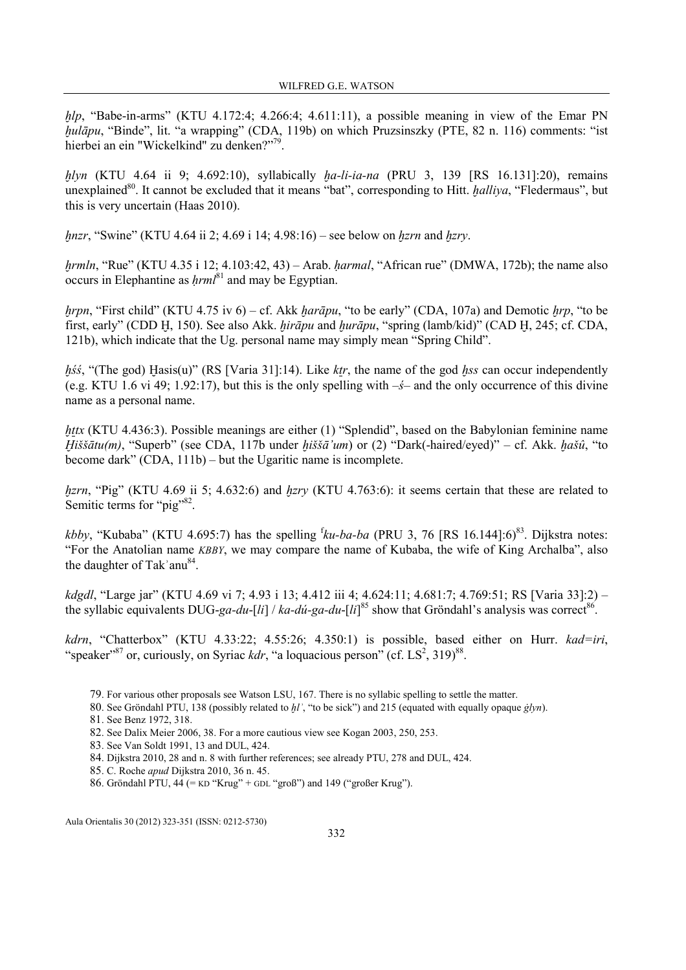$hlp$ , "Babe-in-arms" (KTU 4.172:4; 4.266:4; 4.611:11), a possible meaning in view of the Emar PN hulāpu, "Binde", lit. "a wrapping" (CDA, 119b) on which Pruzsinszky (PTE, 82 n. 116) comments: "ist hierbei an ein "Wickelkind" zu denken?"<sup>79</sup>.

 $hlyn$  (KTU 4.64 ii 9; 4.692:10), syllabically  $ha-li-ia-na$  (PRU 3, 139 [RS 16.131]:20), remains unexplained<sup>80</sup>. It cannot be excluded that it means "bat", corresponding to Hitt. *halliva*, "Fledermaus", but this is very uncertain (Haas 2010).

*hnzr*, "Swine" (KTU 4.64 ii 2; 4.69 i 14; 4.98:16) – see below on *hzrn* and *hzrv*.

hrmln, "Rue" (KTU 4.35 i 12; 4.103:42, 43) – Arab. harmal, "African rue" (DMWA, 172b); the name also occurs in Elephantine as  $hrml^{81}$  and may be Egyptian.

*hrpn*, "First child" (KTU 4.75 iv 6) – cf. Akk *harāpu*, "to be early" (CDA, 107a) and Demotic *hrp*, "to be first, early" (CDD H, 150). See also Akk. *hirāpu* and *hurāpu*, "spring (lamb/kid)" (CAD H, 245; cf. CDA, 121b), which indicate that the Ug. personal name may simply mean "Spring Child".

 $h\acute{s}\acute{s}$ , "(The god) Hasis(u)" (RS [Varia 31]:14). Like ktr, the name of the god hss can occur independently (e.g. KTU 1.6 vi 49; 1.92:17), but this is the only spelling with  $-\xi$ – and the only occurrence of this divine name as a personal name.

httx (KTU 4.436:3). Possible meanings are either (1) "Splendid", based on the Babylonian feminine name Ḫiššātu(m), "Superb" (see CDA, 117b under ḫiššā'um) or (2) "Dark(-haired/eyed)" – cf. Akk. ḫašû, "to become dark" (CDA, 111b) – but the Ugaritic name is incomplete.

hzrn, "Pig" (KTU 4.69 ii 5; 4.632:6) and hzrv (KTU 4.763:6): it seems certain that these are related to Semitic terms for "pig"<sup>82</sup>.

*kbby*, "Kubaba" (KTU 4.695:7) has the spelling  ${}^{\text{f}}\!ku$ -ba-ba (PRU 3, 76 [RS 16.144]:6)<sup>83</sup>. Dijkstra notes: "For the Anatolian name KBBY, we may compare the name of Kubaba, the wife of King Archalba", also the daughter of Tak'anu $^{84}$ .

kdgdl, "Large jar" (KTU 4.69 vi 7; 4.93 i 13; 4.412 iii 4; 4.624:11; 4.681:7; 4.769:51; RS [Varia 33]:2) – the syllabic equivalents DUG-ga-du-[li] / ka-dú-ga-du-[li]<sup>85</sup> show that Gröndahl's analysis was correct<sup>86</sup>.

kdrn, "Chatterbox" (KTU 4.33:22; 4.55:26; 4.350:1) is possible, based either on Hurr. kad=iri, "speaker"<sup>87</sup> or, curiously, on Syriac *kdr*, "a loquacious person" (cf. LS<sup>2</sup>, 319)<sup>88</sup>.

- 79. For various other proposals see Watson LSU, 167. There is no syllabic spelling to settle the matter.
- 80. See Gröndahl PTU, 138 (possibly related to  $hl'$ , "to be sick") and 215 (equated with equally opaque *ġlyn*).
- 81. See Benz 1972, 318.
- 82. See Dalix Meier 2006, 38. For a more cautious view see Kogan 2003, 250, 253.
- 83. See Van Soldt 1991, 13 and DUL, 424.
- 84. Dijkstra 2010, 28 and n. 8 with further references; see already PTU, 278 and DUL, 424.
- 85. C. Roche apud Dijkstra 2010, 36 n. 45.
- 86. Gröndahl PTU, 44 (= KD "Krug" + GDL "groß") and 149 ("großer Krug").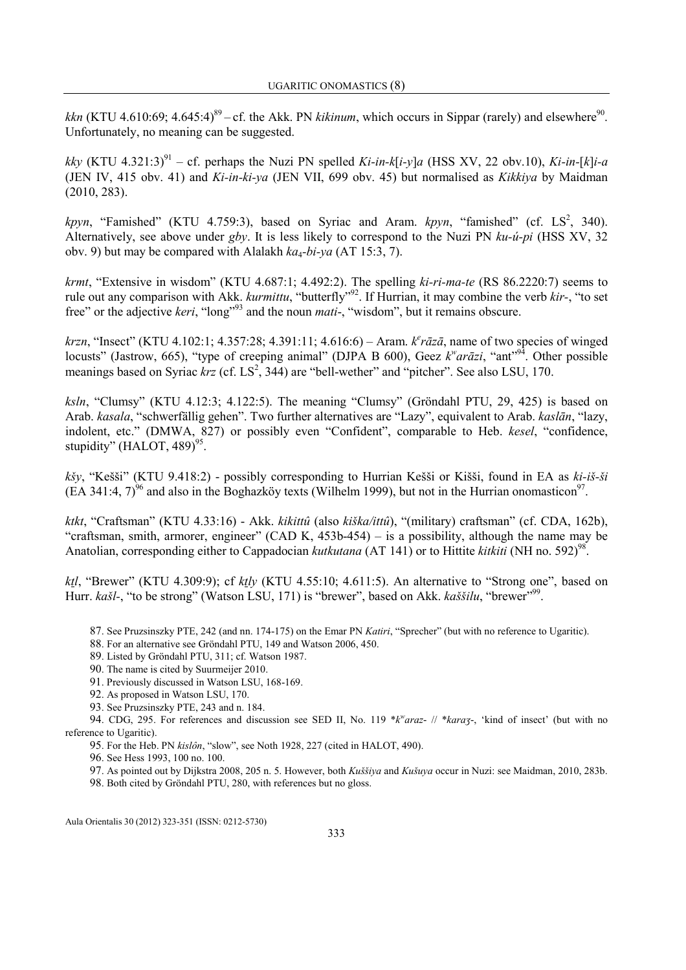kkn (KTU 4.610:69; 4.645:4)<sup>89</sup> – cf. the Akk. PN kikinum, which occurs in Sippar (rarely) and elsewhere<sup>90</sup>. Unfortunately, no meaning can be suggested.

kky (KTU 4.321:3)<sup>91</sup> – cf. perhaps the Nuzi PN spelled Ki-in-k[i-y]a (HSS XV, 22 obv.10), Ki-in-[k]i-a (JEN IV, 415 obv. 41) and  $Ki-in-ki-ya$  (JEN VII, 699 obv. 45) but normalised as *Kikkiya* by Maidman (2010, 283).

kpyn, "Famished" (KTU 4.759:3), based on Syriac and Aram.  $kpyn$ , "famished" (cf.  $LS^2$ , 340). Alternatively, see above under gby. It is less likely to correspond to the Nuzi PN  $ku-u-vi$  (HSS XV, 32) obv. 9) but may be compared with Alalakh  $ka_4-bi-ya$  (AT 15:3, 7).

*krmt*, "Extensive in wisdom" (KTU 4.687:1; 4.492:2). The spelling  $ki-ri-ma-te$  (RS 86.2220:7) seems to rule out any comparison with Akk. kurmittu, "butterfly"<sup>92</sup>. If Hurrian, it may combine the verb kir-, "to set free" or the adjective *keri*, "long"<sup>93</sup> and the noun *mati*-, "wisdom", but it remains obscure.

 $krzn$ , "Insect" (KTU 4.102:1; 4.357:28; 4.391:11; 4.616:6) – Aram.  $k^e r \bar{a} z \bar{a}$ , name of two species of winged locusts" (Jastrow, 665), "type of creeping animal" (DJPA B 600), Geez  $k^w a r \bar{a} z i$ , "ant"<sup>94</sup>. Other possible meanings based on Syriac  $krz$  (cf.  $LS^2$ , 344) are "bell-wether" and "pitcher". See also LSU, 170.

ksln, "Clumsy" (KTU 4.12:3; 4.122:5). The meaning "Clumsy" (Gröndahl PTU, 29, 425) is based on Arab. kasala, "schwerfällig gehen". Two further alternatives are "Lazy", equivalent to Arab. kaslān, "lazy, indolent, etc." (DMWA, 827) or possibly even "Confident", comparable to Heb. kesel, "confidence, stupidity" (HALOT, 489) $95$ .

kšy, "Kešši" (KTU 9.418:2) - possibly corresponding to Hurrian Kešši or Kišši, found in EA as ki-iš-ši  $(EA 341:4, 7)^{96}$  and also in the Boghazköy texts (Wilhelm 1999), but not in the Hurrian onomasticon<sup>97</sup>.

ktkt, "Craftsman" (KTU 4.33:16) - Akk. kikittû (also kiška/ittû), "(military) craftsman" (cf. CDA, 162b), "craftsman, smith, armorer, engineer" (CAD K, 453b-454) – is a possibility, although the name may be Anatolian, corresponding either to Cappadocian kutkutana (AT 141) or to Hittite kitkiti (NH no. 592)<sup>98</sup>.

ktl, "Brewer" (KTU 4.309:9); cf ktly (KTU 4.55:10; 4.611:5). An alternative to "Strong one", based on Hurr. kašl-, "to be strong" (Watson LSU, 171) is "brewer", based on Akk. kaššilu, "brewer"<sup>999</sup>.

- 87. See Pruzsinszky PTE, 242 (and nn. 174-175) on the Emar PN Katiri, "Sprecher" (but with no reference to Ugaritic).
- 88. For an alternative see Gröndahl PTU, 149 and Watson 2006, 450.
- 89. Listed by Gröndahl PTU, 311; cf. Watson 1987.
- 90. The name is cited by Suurmeijer 2010.
- 91. Previously discussed in Watson LSU, 168-169.
- 92. As proposed in Watson LSU, 170.
- 93. See Pruzsinszky PTE, 243 and n. 184.

94. CDG, 295. For references and discussion see SED II, No. 119 \*k<sup>w</sup>araz- // \*karaz-, 'kind of insect' (but with no reference to Ugaritic).

95. For the Heb. PN kislôn, "slow", see Noth 1928, 227 (cited in HALOT, 490).

96. See Hess 1993, 100 no. 100.

97. As pointed out by Dijkstra 2008, 205 n. 5. However, both Kuššiya and Kušuya occur in Nuzi: see Maidman, 2010, 283b.

98. Both cited by Gröndahl PTU, 280, with references but no gloss.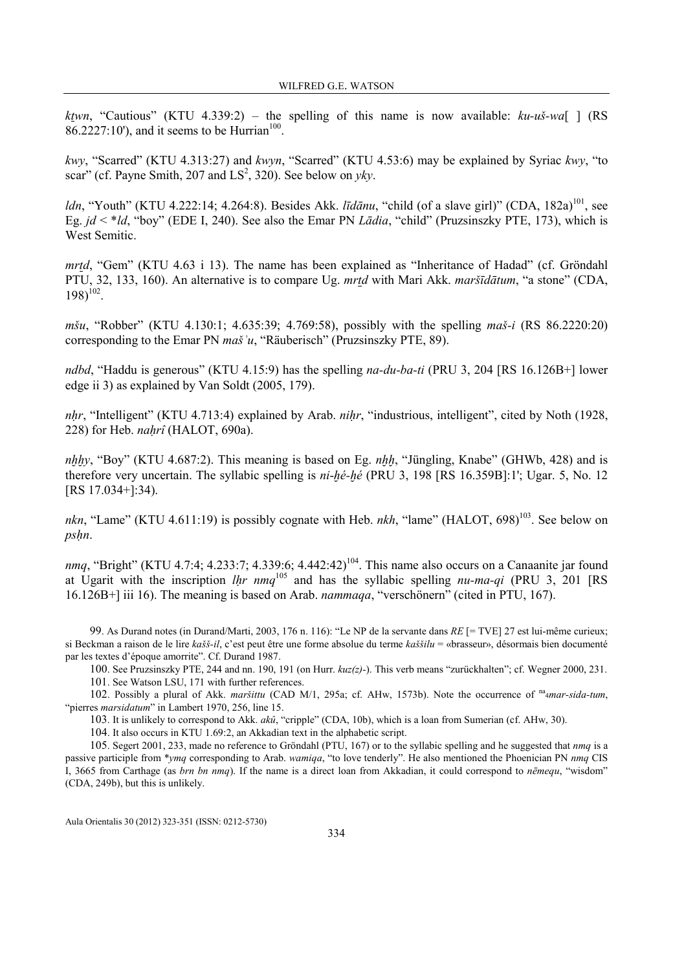ktwn, "Cautious" (KTU 4.339:2) – the spelling of this name is now available:  $ku-u\ddot{s}-wa$ [ ] (RS  $86.2227:10'$ , and it seems to be Hurrian<sup>100</sup>.

kwy, "Scarred" (KTU 4.313:27) and kwyn, "Scarred" (KTU 4.53:6) may be explained by Syriac kwy, "to scar" (cf. Payne Smith, 207 and  $LS^2$ , 320). See below on *yky*.

ldn, "Youth" (KTU 4.222:14; 4.264:8). Besides Akk. *līdānu*, "child (of a slave girl)" (CDA, 182a)<sup>101</sup>, see Eg.  $jd \lt^*ld$ , "boy" (EDE I, 240). See also the Emar PN *Lādia*, "child" (Pruzsinszky PTE, 173), which is West Semitic.

mrtd, "Gem" (KTU 4.63 i 13). The name has been explained as "Inheritance of Hadad" (cf. Gröndahl PTU, 32, 133, 160). An alternative is to compare Ug. mrtd with Mari Akk. maršīdātum, "a stone" (CDA,  $198)^{102}$ .

mšu, "Robber" (KTU 4.130:1; 4.635:39; 4.769:58), possibly with the spelling maš-i (RS 86.2220:20) corresponding to the Emar PN *maš* $\alpha$ , "Räuberisch" (Pruzsinszky PTE, 89).

ndbd, "Haddu is generous" (KTU 4.15:9) has the spelling na-du-ba-ti (PRU 3, 204 [RS 16.126B+] lower edge ii 3) as explained by Van Soldt (2005, 179).

nhr, "Intelligent" (KTU 4.713:4) explained by Arab. nihr, "industrious, intelligent", cited by Noth (1928, 228) for Heb.  $nahr\hat{\imath}$  (HALOT, 690a).

 $nhhy$ , "Boy" (KTU 4.687:2). This meaning is based on Eg.  $nhh$ , "Jüngling, Knabe" (GHWb, 428) and is therefore very uncertain. The syllabic spelling is  $ni-hé-hé$  (PRU 3, 198 [RS 16.359B]:1'; Ugar. 5, No. 12 [RS 17.034+]:34).

nkn, "Lame" (KTU 4.611:19) is possibly cognate with Heb. nkh, "lame" (HALOT,  $698$ )<sup>103</sup>. See below on pshn.

nmq, "Bright" (KTU 4.7:4; 4.233:7; 4.339:6; 4.442:42)<sup>104</sup>. This name also occurs on a Canaanite jar found at Ugarit with the inscription  $lhr$  nmq<sup>105</sup> and has the syllabic spelling  $nu-ma-qi$  (PRU 3, 201 [RS 16.126B+] iii 16). The meaning is based on Arab. nammaqa, "verschönern" (cited in PTU, 167).

99. As Durand notes (in Durand/Marti, 2003, 176 n. 116): "Le NP de la servante dans RE [= TVE] 27 est lui-même curieux; si Beckman a raison de le lire kašš-il, c'est peut être une forme absolue du terme kaššilu = «brasseur», désormais bien documenté par les textes d'époque amorrite". Cf. Durand 1987.

100. See Pruzsinszky PTE, 244 and nn. 190, 191 (on Hurr.  $kuz(z)$ -). This verb means "zurückhalten"; cf. Wegner 2000, 231.

101. See Watson LSU, 171 with further references.

102. Possibly a plural of Akk. maršittu (CAD M/1, 295a; cf. AHw, 1573b). Note the occurrence of  $n_{4}$ mar-sida-tum, "pierres marsidatum" in Lambert 1970, 256, line 15.

103. It is unlikely to correspond to Akk. akû, "cripple" (CDA, 10b), which is a loan from Sumerian (cf. AHw, 30).

104. It also occurs in KTU 1.69:2, an Akkadian text in the alphabetic script.

105. Segert 2001, 233, made no reference to Gröndahl (PTU, 167) or to the syllabic spelling and he suggested that nmq is a passive participle from \*ymq corresponding to Arab. wamiqa, "to love tenderly". He also mentioned the Phoenician PN nmq CIS I, 3665 from Carthage (as *brn bn nmq*). If the name is a direct loan from Akkadian, it could correspond to *nēmequ*, "wisdom" (CDA, 249b), but this is unlikely.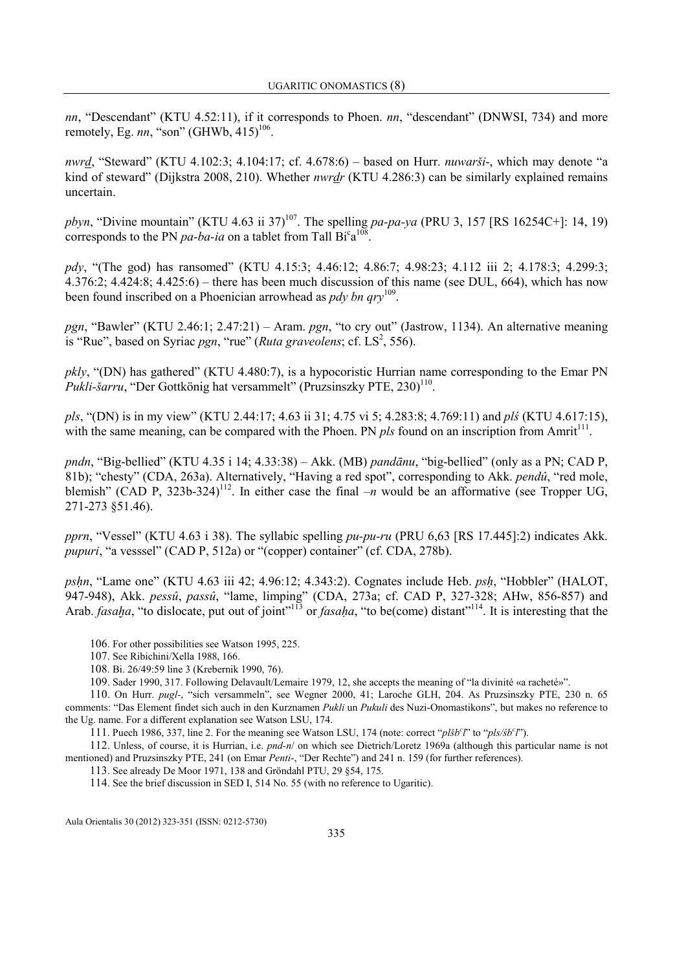nn, "Descendant" (KTU 4.52:11), if it corresponds to Phoen. nn, "descendant" (DNWSI, 734) and more remotely, Eg.  $nn$ , "son" (GHWb,  $415$ )<sup>106</sup>.

nwrd, "Steward" (KTU 4.102:3; 4.104:17; cf. 4.678:6) – based on Hurr. nuwarši-, which may denote "a kind of steward" (Dijkstra 2008, 210). Whether *nwrdr* (KTU 4.286:3) can be similarly explained remains uncertain.

pbyn, "Divine mountain" (KTU 4.63 ii 37)<sup>107</sup>. The spelling pa-pa-ya (PRU 3, 157 [RS 16254C+]: 14, 19) corresponds to the PN *pa-ba-ia* on a tablet from Tall  $Bi^c a^{108}$ .

pdy, "(The god) has ransomed" (KTU 4.15:3; 4.46:12; 4.86:7; 4.98:23; 4.112 iii 2; 4.178:3; 4.299:3; 4.376:2; 4.424:8; 4.425:6) – there has been much discussion of this name (see DUL, 664), which has now been found inscribed on a Phoenician arrowhead as  $p dy$  bn  $qry^{109}$ .

pgn, "Bawler" (KTU 2.46:1; 2.47:21) – Aram. pgn, "to cry out" (Jastrow, 1134). An alternative meaning is "Rue", based on Syriac pgn, "rue" (Ruta graveolens; cf.  $LS^2$ , 556).

pkly, "(DN) has gathered" (KTU 4.480:7), is a hypocoristic Hurrian name corresponding to the Emar PN Pukli-šarru, "Der Gottkönig hat versammelt" (Pruzsinszky PTE, 230)<sup>110</sup>.

pls, "(DN) is in my view" (KTU 2.44:17; 4.63 ii 31; 4.75 vi 5; 4.283:8; 4.769:11) and plś (KTU 4.617:15), with the same meaning, can be compared with the Phoen. PN  $pls$  found on an inscription from Amrit<sup>111</sup>.

pndn, "Big-bellied" (KTU 4.35 i 14; 4.33:38) – Akk. (MB) pandānu, "big-bellied" (only as a PN; CAD P, 81b); "chesty" (CDA, 263a). Alternatively, "Having a red spot", corresponding to Akk. pendû, "red mole, blemish" (CAD P, 323b-324)<sup>112</sup>. In either case the final  $-n$  would be an afformative (see Tropper UG, 271-273 §51.46).

pprn, "Vessel" (KTU 4.63 i 38). The syllabic spelling  $pu$ -pu-ru (PRU 6.63 [RS 17.445]:2) indicates Akk. pupuri, "a vesssel" (CAD P, 512a) or "(copper) container" (cf. CDA, 278b).

psḥn, "Lame one" (KTU 4.63 iii 42; 4.96:12; 4.343:2). Cognates include Heb. psḥ, "Hobbler" (HALOT, 947-948), Akk. pessû, passû, "lame, limping" (CDA, 273a; cf. CAD P, 327-328; AHw, 856-857) and Arab. *fasaha*, "to dislocate, put out of joint"<sup>113</sup> or *fasaha*, "to be(come) distant"<sup>114</sup>. It is interesting that the

- 106. For other possibilities see Watson 1995, 225.
- 107. See Ribichini/Xella 1988, 166.
- 108. Bi. 26/49:59 line 3 (Krebernik 1990, 76).
- 109. Sader 1990, 317. Following Delavault/Lemaire 1979, 12, she accepts the meaning of "la divinité «a racheté»".

110. On Hurr. pugl-, "sich versammeln", see Wegner 2000, 41; Laroche GLH, 204. As Pruzsinszky PTE, 230 n. 65 comments: "Das Element findet sich auch in den Kurznamen Pukli un Pukuli des Nuzi-Onomastikons", but makes no reference to the Ug. name. For a different explanation see Watson LSU, 174.

111. Puech 1986, 337, line 2. For the meaning see Watson LSU, 174 (note: correct " $pl\ddot{s}b^cT$ " to " $pl\dot{s}/b^cT$ ").

112. Unless, of course, it is Hurrian, i.e. pnd-n/ on which see Dietrich/Loretz 1969a (although this particular name is not mentioned) and Pruzsinszky PTE, 241 (on Emar Penti-, "Der Rechte") and 241 n. 159 (for further references).

113. See already De Moor 1971, 138 and Gröndahl PTU, 29 §54, 175.

114. See the brief discussion in SED I, 514 No. 55 (with no reference to Ugaritic).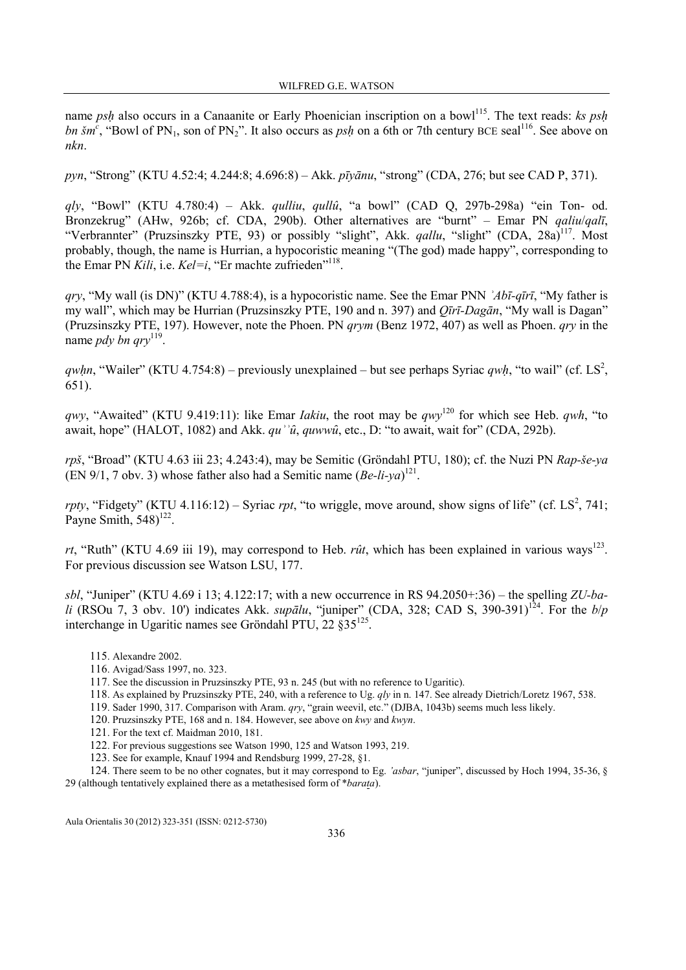name psh also occurs in a Canaanite or Early Phoenician inscription on a bowl<sup>115</sup>. The text reads: ks psh bn šm<sup>c</sup>, "Bowl of PN<sub>1</sub>, son of PN<sub>2</sub>". It also occurs as *psh* on a 6th or 7th century BCE seal<sup>116</sup>. See above on nkn.

pyn, "Strong" (KTU 4.52:4; 4.244:8; 4.696:8) – Akk. pīyānu, "strong" (CDA, 276; but see CAD P, 371).

 $qly$ , "Bowl" (KTU 4.780:4) – Akk.  $qulliu$ ,  $qullu$ , "a bowl" (CAD Q, 297b-298a) "ein Ton- od. Bronzekrug" (AHw, 926b; cf. CDA, 290b). Other alternatives are "burnt" – Emar PN qaliu/qalī, "Verbrannter" (Pruzsinszky PTE, 93) or possibly "slight", Akk. *gallu*, "slight" (CDA, 28a)<sup>117</sup>, Most probably, though, the name is Hurrian, a hypocoristic meaning "(The god) made happy", corresponding to the Emar PN Kili, i.e.  $KeI=i$ , "Er machte zufrieden"<sup>118</sup>.

 $qry$ , "My wall (is DN)" (KTU 4.788:4), is a hypocoristic name. See the Emar PNN  $Ab\bar{i}$ -qīrī, "My father is my wall", which may be Hurrian (Pruzsinszky PTE, 190 and n. 397) and Qīrī-Dagān, "My wall is Dagan" (Pruzsinszky PTE, 197). However, note the Phoen. PN qrym (Benz 1972, 407) as well as Phoen. qry in the name *pdy bn qry*<sup>119</sup>.

qwhn, "Wailer" (KTU 4.754:8) – previously unexplained – but see perhaps Syriac qwh, "to wail" (cf. LS<sup>2</sup>, 651).

qwy, "Awaited" (KTU 9.419:11): like Emar *Iakiu*, the root may be  $qwy^{120}$  for which see Heb.  $qwh$ , "to await, hope" (HALOT, 1082) and Akk.  $qu^{\prime\prime}\hat{u}$ , quww $\hat{u}$ , etc., D: "to await, wait for" (CDA, 292b).

rpš, "Broad" (KTU 4.63 iii 23; 4.243:4), may be Semitic (Gröndahl PTU, 180); cf. the Nuzi PN Rap-še-ya  $(EN 9/1, 7$  obv. 3) whose father also had a Semitic name  $(Be-Ii-ya)^{121}$ .

rpty, "Fidgety" (KTU 4.116:12) – Syriac rpt, "to wriggle, move around, show signs of life" (cf. LS<sup>2</sup>, 741; Payne Smith,  $548$ <sup>122</sup>.

rt, "Ruth" (KTU 4.69 iii 19), may correspond to Heb. rût, which has been explained in various ways<sup>123</sup>. For previous discussion see Watson LSU, 177.

sbl, "Juniper" (KTU 4.69 i 13; 4.122:17; with a new occurrence in RS  $94.2050+36$ ) – the spelling ZU-bali (RSOu 7, 3 obv. 10') indicates Akk. *supālu*, "juniper" (CDA, 328; CAD S, 390-391)<sup>124</sup>. For the  $b/p$ interchange in Ugaritic names see Gröndahl PTU, 22 §35<sup>125</sup> .

115. Alexandre 2002.

116. Avigad/Sass 1997, no. 323.

- 118. As explained by Pruzsinszky PTE, 240, with a reference to Ug. qly in n. 147. See already Dietrich/Loretz 1967, 538.
- 119. Sader 1990, 317. Comparison with Aram. qry, "grain weevil, etc." (DJBA, 1043b) seems much less likely.
- 120. Pruzsinszky PTE, 168 and n. 184. However, see above on kwy and kwyn.
- 121. For the text cf. Maidman 2010, 181.
- 122. For previous suggestions see Watson 1990, 125 and Watson 1993, 219.
- 123. See for example, Knauf 1994 and Rendsburg 1999, 27-28, §1.

124. There seem to be no other cognates, but it may correspond to Eg. 'asbar, "juniper", discussed by Hoch 1994, 35-36, § 29 (although tentatively explained there as a metathesised form of \*barata).

<sup>117</sup>. See the discussion in Pruzsinszky PTE, 93 n. 245 (but with no reference to Ugaritic).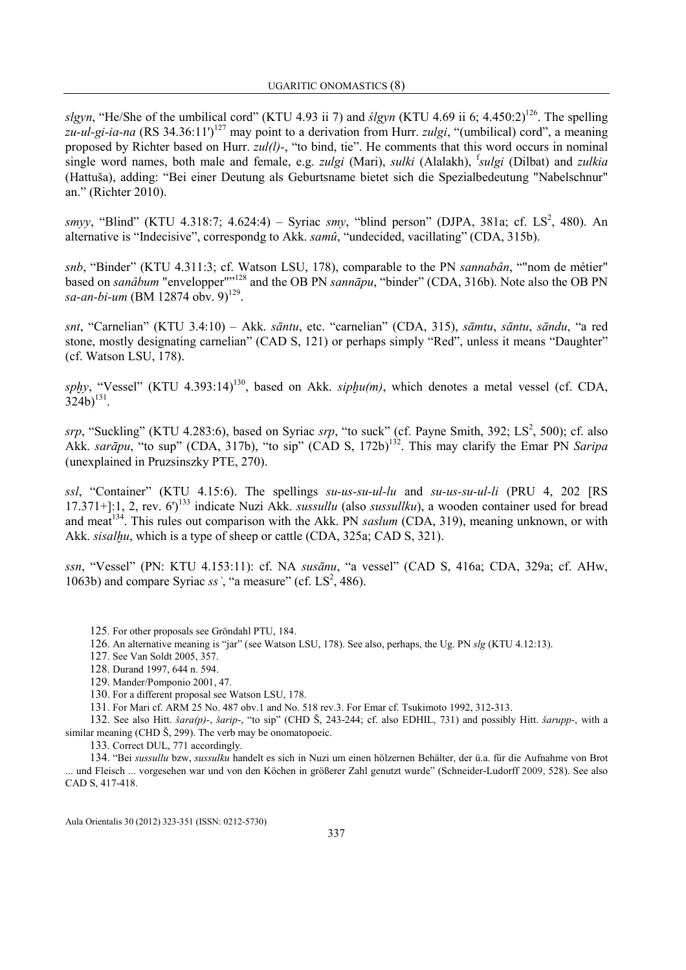slgyn, "He/She of the umbilical cord" (KTU 4.93 ii 7) and  $slgyn$  (KTU 4.69 ii 6; 4.450:2)<sup>126</sup>. The spelling zu-ul-gi-ia-na (RS 34.36:11')<sup>127</sup> may point to a derivation from Hurr. *zulgi*, "(umbilical) cord", a meaning proposed by Richter based on Hurr. zul(l)-, "to bind, tie". He comments that this word occurs in nominal single word names, both male and female, e.g. *zulgi* (Mari), *sulki* (Alalakh), <sup>f</sup>sulgi (Dilbat) and *zulkia* (Hattuša), adding: "Bei einer Deutung als Geburtsname bietet sich die Spezialbedeutung "Nabelschnur" an." (Richter 2010).

smyy, "Blind" (KTU 4.318:7; 4.624:4) – Syriac smy, "blind person" (DJPA, 381a; cf. LS<sup>2</sup>, 480). An alternative is "Indecisive", correspondg to Akk. samû, "undecided, vacillating" (CDA, 315b).

snb, "Binder" (KTU 4.311:3; cf. Watson LSU, 178), comparable to the PN sannabân, ""nom de métier" based on sanâbum "envelopper"<sup>128</sup> and the OB PN sannāpu, "binder" (CDA, 316b). Note also the OB PN sa-an-bi-um (BM 12874 obv. 9)<sup>129</sup>.

snt, "Carnelian" (KTU 3.4:10) – Akk. sāntu, etc. "carnelian" (CDA, 315), sāmtu, sāntu, sāndu, "a red stone, mostly designating carnelian" (CAD S, 121) or perhaps simply "Red", unless it means "Daughter" (cf. Watson LSU, 178).

sphy, "Vessel" (KTU 4.393:14)<sup>130</sup>, based on Akk. siphu(m), which denotes a metal vessel (cf. CDA,  $324b)^{131}$ .

srp, "Suckling" (KTU 4.283:6), based on Syriac srp, "to suck" (cf. Payne Smith, 392; LS<sup>2</sup>, 500); cf. also Akk. sarāpu, "to sup" (CDA, 317b), "to sip" (CAD S, 172b)<sup>132</sup>. This may clarify the Emar PN Saripa (unexplained in Pruzsinszky PTE, 270).

ssl, "Container" (KTU 4.15:6). The spellings su-us-su-ul-lu and su-us-su-ul-li (PRU 4, 202 [RS 17.371+]:1, 2, rev.  $6'$ <sup>133</sup> indicate Nuzi Akk. *sussullu* (also *sussullku*), a wooden container used for bread and meat<sup>134</sup>. This rules out comparison with the Akk. PN *saslum* (CDA, 319), meaning unknown, or with Akk. *sisalhu*, which is a type of sheep or cattle (CDA, 325a; CAD S, 321).

ssn, "Vessel" (PN: KTU 4.153:11): cf. NA susānu, "a vessel" (CAD S, 416a; CDA, 329a; cf. AHw, 1063b) and compare Syriac ss<sup>2</sup>, "a measure" (cf.  $LS^2$ , 486).

125. For other proposals see Gröndahl PTU, 184.

126. An alternative meaning is "jar" (see Watson LSU, 178). See also, perhaps, the Ug. PN slg (KTU 4.12:13).

127. See Van Soldt 2005, 357.

128. Durand 1997, 644 n. 594.

- 129. Mander/Pomponio 2001, 47.
- 130. For a different proposal see Watson LSU, 178.

131. For Mari cf. ARM 25 No. 487 obv.1 and No. 518 rev.3. For Emar cf. Tsukimoto 1992, 312-313.

132. See also Hitt. šara(p)-, šarip-, "to sip" (CHD Š, 243-244; cf. also EDHIL, 731) and possibly Hitt. šarupp-, with a similar meaning (CHD Š, 299). The verb may be onomatopoeic.

133. Correct DUL, 771 accordingly.

134. "Bei sussullu bzw, sussulku handelt es sich in Nuzi um einen hölzernen Behälter, der ü.a. für die Aufnahme von Brot ... und Fleisch ... vorgesehen war und von den Köchen in größerer Zahl genutzt wurde" (Schneider-Ludorff 2009, 528). See also CAD S, 417-418.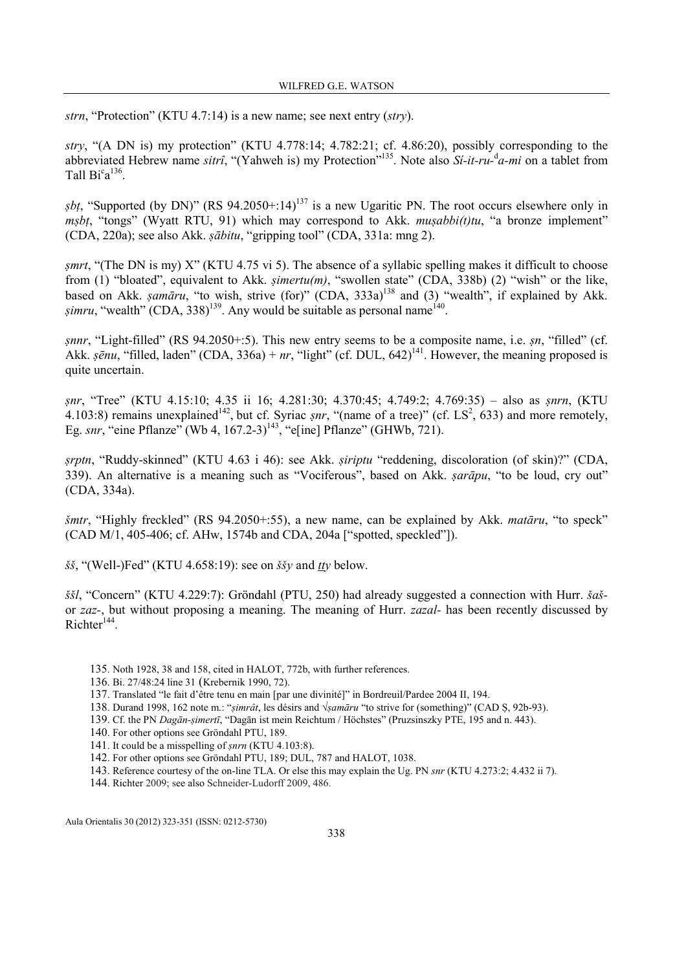strn, "Protection" (KTU 4.7:14) is a new name; see next entry (stry).

stry, "(A DN is) my protection" (KTU 4.778:14; 4.782:21; cf. 4.86:20), possibly corresponding to the abbreviated Hebrew name sitrî, "(Yahweh is) my Protection"<sup>135</sup>. Note also Si-it-ru- $d$ -mi on a tablet from Tall  $Bi^c a^{136}$ .

*sbt*, "Supported (by DN)" (RS 94.2050+:14)<sup>137</sup> is a new Ugaritic PN. The root occurs elsewhere only in mṣbṭ, "tongs" (Wyatt RTU, 91) which may correspond to Akk. muṣabbi(t)tu, "a bronze implement" (CDA, 220a); see also Akk. ṣābitu, "gripping tool" (CDA, 331a: mng 2).

ṣmrt, "(The DN is my) X" (KTU 4.75 vi 5). The absence of a syllabic spelling makes it difficult to choose from (1) "bloated", equivalent to Akk. *şimertu(m)*, "swollen state" (CDA, 338b) (2) "wish" or the like, based on Akk. *ṣamāru*, "to wish, strive (for)" (CDA,  $333a$ )<sup>138</sup> and (3) "wealth", if explained by Akk. *simru*, "wealth" (CDA, 338)<sup>139</sup>. Any would be suitable as personal name<sup>140</sup>.

ṣnnr, "Light-filled" (RS 94.2050+:5). This new entry seems to be a composite name, i.e. ṣn, "filled" (cf. Akk.  $\bar{g}$ *enu*, "filled, laden" (CDA, 336a) + *nr*, "light" (cf. DUL, 642)<sup>141</sup>. However, the meaning proposed is quite uncertain.

snr, "Tree" (KTU 4.15:10; 4.35 ii 16; 4.281:30; 4.370:45; 4.749:2; 4.769:35) – also as snrn, (KTU 4.103:8) remains unexplained<sup>142</sup>, but cf. Syriac *snr*, "(name of a tree)" (cf. LS<sup>2</sup>, 633) and more remotely, Eg. snr, "eine Pflanze" (Wb 4,  $167.2-3$ )<sup>143</sup>, "e[ine] Pflanze" (GHWb, 721).

srptn, "Ruddy-skinned" (KTU 4.63 i 46): see Akk. *siriptu* "reddening, discoloration (of skin)?" (CDA, 339). An alternative is a meaning such as "Vociferous", based on Akk. *sarāpu*, "to be loud, cry out" (CDA, 334a).

šmtr, "Highly freckled" (RS 94.2050+:55), a new name, can be explained by Akk. matāru, "to speck" (CAD M/1, 405-406; cf. AHw, 1574b and CDA, 204a ["spotted, speckled"]).

 $\delta \xi$ , "(Well-)Fed" (KTU 4.658:19): see on  $\delta \xi$  and tty below.

ššl, "Concern" (KTU 4.229:7): Gröndahl (PTU, 250) had already suggested a connection with Hurr. šašor zaz-, but without proposing a meaning. The meaning of Hurr. zazal- has been recently discussed by  $Richter<sup>144</sup>$ .

- 135. Noth 1928, 38 and 158, cited in HALOT, 772b, with further references.
- 136. Bi. 27/48:24 line 31 (Krebernik 1990, 72).
- 137. Translated "le fait d'être tenu en main [par une divinité]" in Bordreuil/Pardee 2004 II, 194.
- 138. Durand 1998, 162 note m.: "ṣimrât, les désirs and √ṣamāru "to strive for (something)" (CAD Ṣ, 92b-93).
- 139. Cf. the PN Dagān-ṣimertī, "Dagān ist mein Reichtum / Höchstes" (Pruzsinszky PTE, 195 and n. 443).
- 140. For other options see Gröndahl PTU, 189.
- 141. It could be a misspelling of ṣnrn (KTU 4.103:8).
- 142. For other options see Gröndahl PTU, 189; DUL, 787 and HALOT, 1038.
- 143. Reference courtesy of the on-line TLA. Or else this may explain the Ug. PN snr (KTU 4.273:2; 4.432 ii 7).

144. Richter 2009; see also Schneider-Ludorff 2009, 486.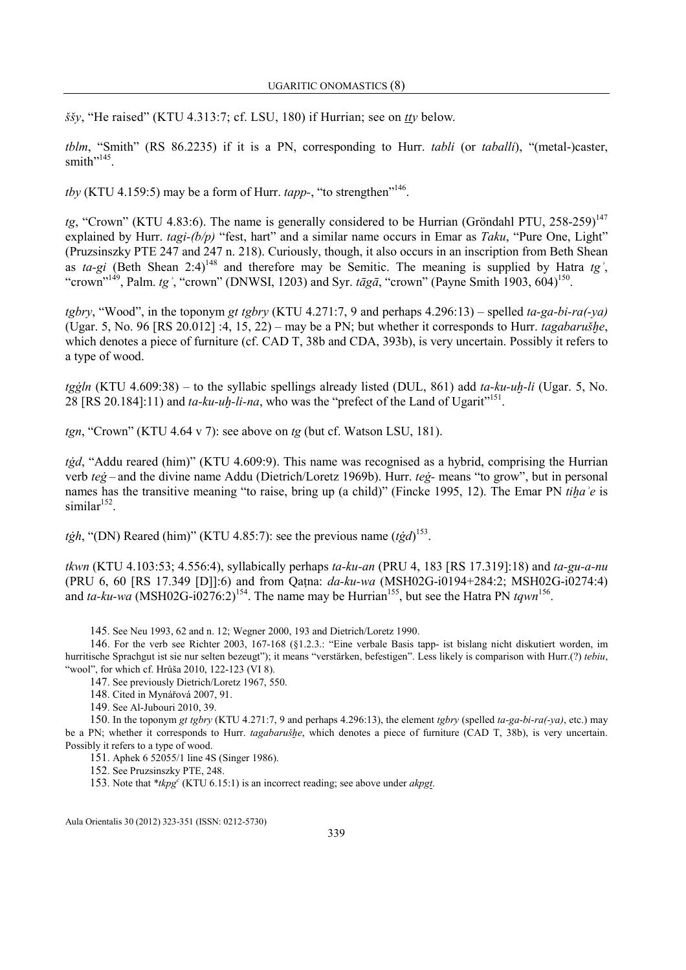ššy, "He raised" (KTU 4.313:7; cf. LSU, 180) if Hurrian; see on tty below.

tblm, "Smith" (RS 86.2235) if it is a PN, corresponding to Hurr. tabli (or taballi), "(metal-)caster, smith"<sup>145</sup>.

*tby* (KTU 4.159:5) may be a form of Hurr. *tapp*-, "to strengthen"<sup>146</sup>.

tg, "Crown" (KTU 4.83:6). The name is generally considered to be Hurrian (Gröndahl PTU, 258-259)<sup>147</sup> explained by Hurr. tagi-(b/p) "fest, hart" and a similar name occurs in Emar as Taku. "Pure One. Light" (Pruzsinszky PTE 247 and 247 n. 218). Curiously, though, it also occurs in an inscription from Beth Shean as ta-gi (Beth Shean 2:4)<sup>148</sup> and therefore may be Semitic. The meaning is supplied by Hatra tg<sup>2</sup>, "crown"<sup>149</sup>, Palm. tg<sup>2</sup>, "crown" (DNWSI, 1203) and Syr. tāgā, "crown" (Payne Smith 1903, 604)<sup>150</sup>.

tgbry, "Wood", in the toponym gt tgbry (KTU 4.271:7, 9 and perhaps  $4.296:13$ ) – spelled ta-ga-bi-ra(-ya) (Ugar. 5, No. 96 [RS 20.012] :4, 15, 22) – may be a PN; but whether it corresponds to Hurr. tagabarušhe, which denotes a piece of furniture (cf. CAD T, 38b and CDA, 393b), is very uncertain. Possibly it refers to a type of wood.

tgġln (KTU 4.609:38) – to the syllabic spellings already listed (DUL, 861) add ta-ku-uh-li (Ugar. 5, No. 28 [RS 20.184]:11) and  $ta-ku-uh-li-na$ , who was the "prefect of the Land of Ugarit"<sup>151</sup>.

 $tgn$ , "Crown" (KTU 4.64 v 7): see above on  $tg$  (but cf. Watson LSU, 181).

*tġd*, "Addu reared (him)" (KTU 4.609:9). This name was recognised as a hybrid, comprising the Hurrian verb teġ – and the divine name Addu (Dietrich/Loretz 1969b). Hurr. teġ- means "to grow", but in personal names has the transitive meaning "to raise, bring up (a child)" (Fincke 1995, 12). The Emar PN tiha'e is  $similar<sup>152</sup>$ .

*tġh*, "(DN) Reared (him)" (KTU 4.85:7): see the previous name (*tġd*)<sup>153</sup>.

tkwn (KTU 4.103:53; 4.556:4), syllabically perhaps ta-ku-an (PRU 4, 183 [RS 17.319]:18) and ta-gu-a-nu (PRU 6, 60 [RS 17.349 [D]]:6) and from Qaṭna: da-ku-wa (MSH02G-i0194+284:2; MSH02G-i0274:4) and ta-ku-wa (MSH02G-i0276:2)<sup>154</sup>. The name may be Hurrian<sup>155</sup>, but see the Hatra PN tqwn<sup>156</sup>.

145. See Neu 1993, 62 and n. 12; Wegner 2000, 193 and Dietrich/Loretz 1990.

146. For the verb see Richter 2003, 167-168 (§1.2.3.: "Eine verbale Basis tapp- ist bislang nicht diskutiert worden, im hurritische Sprachgut ist sie nur selten bezeugt"); it means "verstärken, befestigen". Less likely is comparison with Hurr.(?) tebiu, "wool", for which cf. Hrůša 2010, 122-123 (VI 8).

147. See previously Dietrich/Loretz 1967, 550.

148. Cited in Mynářová 2007, 91.

149. See Al-Jubouri 2010, 39.

150. In the toponym gt tgbry (KTU 4.271:7, 9 and perhaps 4.296:13), the element tgbry (spelled ta-ga-bi-ra(-ya), etc.) may be a PN; whether it corresponds to Hurr. *tagabarušhe*, which denotes a piece of furniture (CAD T, 38b), is very uncertain. Possibly it refers to a type of wood.

151. Aphek 6 52055/1 line 4S (Singer 1986).

152. See Pruzsinszky PTE, 248.

153. Note that \*tkpg<sup>c</sup> (KTU 6.15:1) is an incorrect reading; see above under akpgt.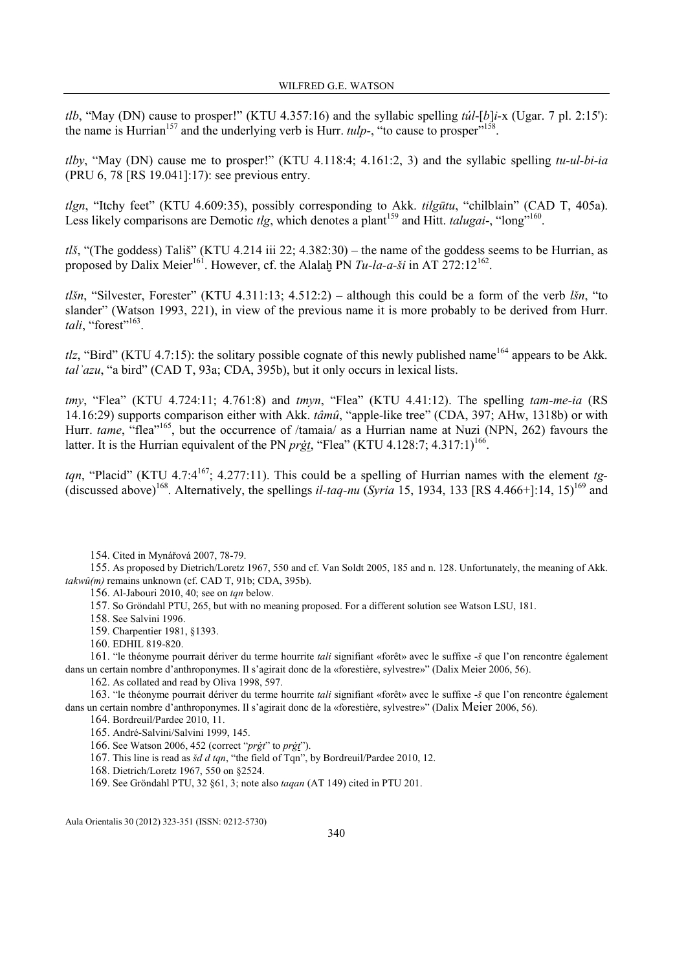tlb, "May (DN) cause to prosper!" (KTU 4.357:16) and the syllabic spelling  $t\dot{u}l$ -[b]i-x (Ugar. 7 pl. 2:15'): the name is Hurrian<sup>157</sup> and the underlying verb is Hurr.  $tulp$ -, "to cause to prosper"<sup>15</sup> .

tlby, "May (DN) cause me to prosper!" (KTU 4.118:4; 4.161:2, 3) and the syllabic spelling tu-ul-bi-ia (PRU 6, 78 [RS 19.041]:17): see previous entry.

tlgn, "Itchy feet" (KTU 4.609:35), possibly corresponding to Akk. tilgūtu, "chilblain" (CAD T, 405a). Less likely comparisons are Demotic  $tlg$ , which denotes a plant<sup>159</sup> and Hitt.  $talugai-$ , "long"<sup>160</sup>.

tlš, "(The goddess) Tališ" (KTU 4.214 iii 22; 4.382:30) – the name of the goddess seems to be Hurrian, as proposed by Dalix Meier<sup>161</sup>. However, cf. the Alalaḫ PN  $Tu$ -la-a-ši in AT 272:12<sup>162</sup>.

tlšn, "Silvester, Forester" (KTU 4.311:13; 4.512:2) – although this could be a form of the verb lšn, "to slander" (Watson 1993, 221), in view of the previous name it is more probably to be derived from Hurr. tali, "forest"<sup>163</sup>.

tlz, "Bird" (KTU 4.7:15): the solitary possible cognate of this newly published name<sup>164</sup> appears to be Akk. talʾazu, "a bird" (CAD T, 93a; CDA, 395b), but it only occurs in lexical lists.

 $tmv$ , "Flea" (KTU 4.724:11; 4.761:8) and  $tmvn$ , "Flea" (KTU 4.41:12). The spelling  $tam-me-i\alpha$  (RS 14.16:29) supports comparison either with Akk. tâmû, "apple-like tree" (CDA, 397; AHw, 1318b) or with Hurr. tame, "flea"<sup>165</sup>, but the occurrence of /tamaia/ as a Hurrian name at Nuzi (NPN, 262) favours the latter. It is the Hurrian equivalent of the PN  $prgt$ , "Flea" (KTU 4.128:7; 4.317:1)<sup>166</sup>.

tan, "Placid" (KTU 4.7:4<sup>167</sup>; 4.277:11). This could be a spelling of Hurrian names with the element tg-(discussed above)<sup>168</sup>. Alternatively, the spellings *il-taq-nu* (Syria 15, 1934, 133 [RS 4.466+]:14, 15)<sup>169</sup> and

154. Cited in Mynářová 2007, 78-79.

155. As proposed by Dietrich/Loretz 1967, 550 and cf. Van Soldt 2005, 185 and n. 128. Unfortunately, the meaning of Akk.  $takw\hat{u}(m)$  remains unknown (cf. CAD T, 91b; CDA, 395b).

156. Al-Jabouri 2010, 40; see on tqn below.

157. So Gröndahl PTU, 265, but with no meaning proposed. For a different solution see Watson LSU, 181.

158. See Salvini 1996.

159. Charpentier 1981, §1393.

160. EDHIL 819-820.

161. "le théonyme pourrait dériver du terme hourrite tali signifiant «forêt» avec le suffixe -š que l'on rencontre également dans un certain nombre d'anthroponymes. Il s'agirait donc de la «forestière, sylvestre»" (Dalix Meier 2006, 56).

162. As collated and read by Oliva 1998, 597.

163. "le théonyme pourrait dériver du terme hourrite tali signifiant «forêt» avec le suffixe -š que l'on rencontre également dans un certain nombre d'anthroponymes. Il s'agirait donc de la «forestière, sylvestre»" (Dalix Meier 2006, 56).

164. Bordreuil/Pardee 2010, 11.

165. André-Salvini/Salvini 1999, 145.

166. See Watson 2006, 452 (correct "prġt" to prġt").

167. This line is read as šd d tqn, "the field of Tqn", by Bordreuil/Pardee 2010, 12.

168. Dietrich/Loretz 1967, 550 on §2524.

169. See Gröndahl PTU, 32 §61, 3; note also taqan (AT 149) cited in PTU 201.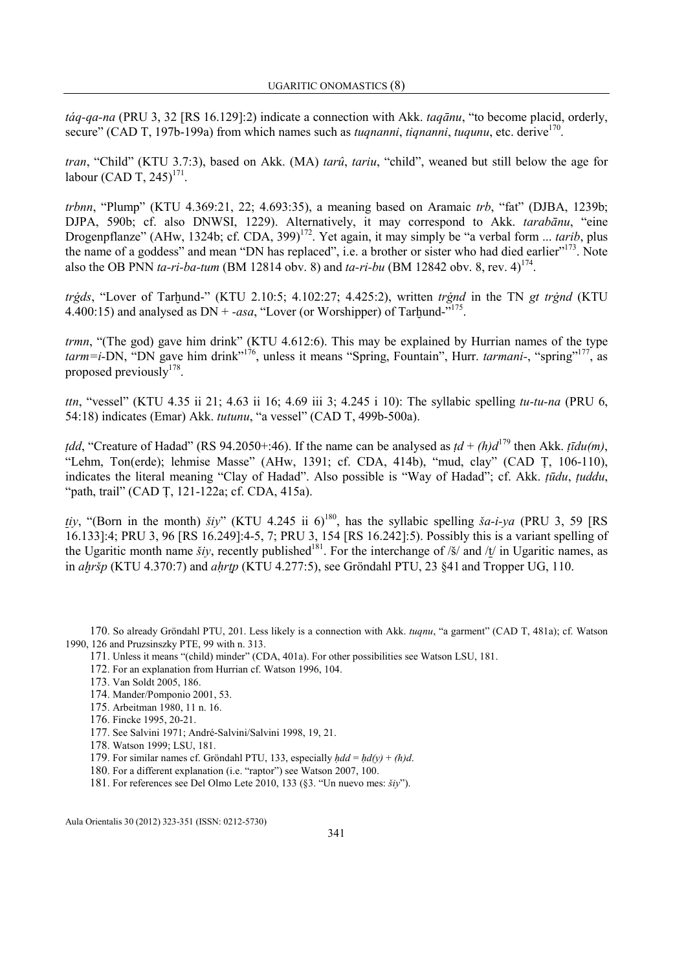táq-qa-na (PRU 3, 32 [RS 16.129]:2) indicate a connection with Akk. taqānu, "to become placid, orderly, secure" (CAD T, 197b-199a) from which names such as *tuqnanni*, *tiqnanni*, *tuqunu*, etc. derive<sup>170</sup>.

tran, "Child" (KTU 3.7:3), based on Akk. (MA) tarû, tariu, "child", weaned but still below the age for labour (CAD T, 245)<sup>171</sup>.

trbnn, "Plump" (KTU 4.369:21, 22; 4.693:35), a meaning based on Aramaic trb, "fat" (DJBA, 1239b; DJPA, 590b; cf. also DNWSI, 1229). Alternatively, it may correspond to Akk. tarabānu, "eine Drogenpflanze" (AHw, 1324b; cf. CDA, 399)<sup>172</sup>. Yet again, it may simply be "a verbal form ... *tarib*, plus the name of a goddess" and mean "DN has replaced", i.e. a brother or sister who had died earlier"<sup>173</sup>. Note also the OB PNN ta-ri-ba-tum (BM 12814 obv. 8) and ta-ri-bu (BM 12842 obv. 8, rev. 4)<sup>174</sup>.

trġds, "Lover of Tarhund-" (KTU 2.10:5; 4.102:27; 4.425:2), written trġnd in the TN gt trġnd (KTU 4.400:15) and analysed as  $DN + \text{-}asa$ , "Lover (or Worshipper) of Tarhund- $\frac{175}{175}$ .

trmn, "(The god) gave him drink" (KTU 4.612:6). This may be explained by Hurrian names of the type  $tarm=i-DN$ , "DN gave him drink"<sup>176</sup>, unless it means "Spring, Fountain", Hurr. *tarmani-*, "spring"<sup>177</sup>, as proposed previously<sup>178</sup>.

ttn, "vessel" (KTU 4.35 ii 21; 4.63 ii 16; 4.69 iii 3; 4.245 i 10): The syllabic spelling tu-tu-na (PRU 6, 54:18) indicates (Emar) Akk. tutunu, "a vessel" (CAD T, 499b-500a).

*tdd*, "Creature of Hadad" (RS 94.2050+:46). If the name can be analysed as  $td + (h)d^{179}$  then Akk. *tīdu(m)*, "Lehm, Ton(erde); lehmise Masse" (AHw, 1391; cf. CDA, 414b), "mud, clay" (CAD Ṭ, 106-110), indicates the literal meaning "Clay of Hadad". Also possible is "Way of Hadad"; cf. Akk. ṭūdu, ṭuddu, "path, trail" (CAD Ṭ, 121-122a; cf. CDA, 415a).

tiy, "(Born in the month) šiy" (KTU 4.245 ii 6)<sup>180</sup>, has the syllabic spelling ša-i-ya (PRU 3, 59 [RS 16.133]:4; PRU 3, 96 [RS 16.249]:4-5, 7; PRU 3, 154 [RS 16.242]:5). Possibly this is a variant spelling of the Ugaritic month name *šiy*, recently published<sup>181</sup>. For the interchange of /š/ and / $t$ / in Ugaritic names, as in *ahršp* (KTU 4.370:7) and *ahrtp* (KTU 4.277:5), see Gröndahl PTU, 23  $\frac{841}{10}$  and Tropper UG, 110.

170. So already Gröndahl PTU, 201. Less likely is a connection with Akk. tuqnu, "a garment" (CAD T, 481a); cf. Watson 1990, 126 and Pruzsinszky PTE, 99 with n. 313.

- 171. Unless it means "(child) minder" (CDA, 401a). For other possibilities see Watson LSU, 181.
- 172. For an explanation from Hurrian cf. Watson 1996, 104.
- 173. Van Soldt 2005, 186.
- 174. Mander/Pomponio 2001, 53.
- 175. Arbeitman 1980, 11 n. 16.
- 176. Fincke 1995, 20-21.
- 177. See Salvini 1971; André-Salvini/Salvini 1998, 19, 21.
- 178. Watson 1999; LSU, 181.
- 179. For similar names cf. Gröndahl PTU, 133, especially  $hdd = hd(y) + (h)d$ .
- 180. For a different explanation (i.e. "raptor") see Watson 2007, 100.
- 181. For references see Del Olmo Lete 2010, 133 (§3. "Un nuevo mes: šiy").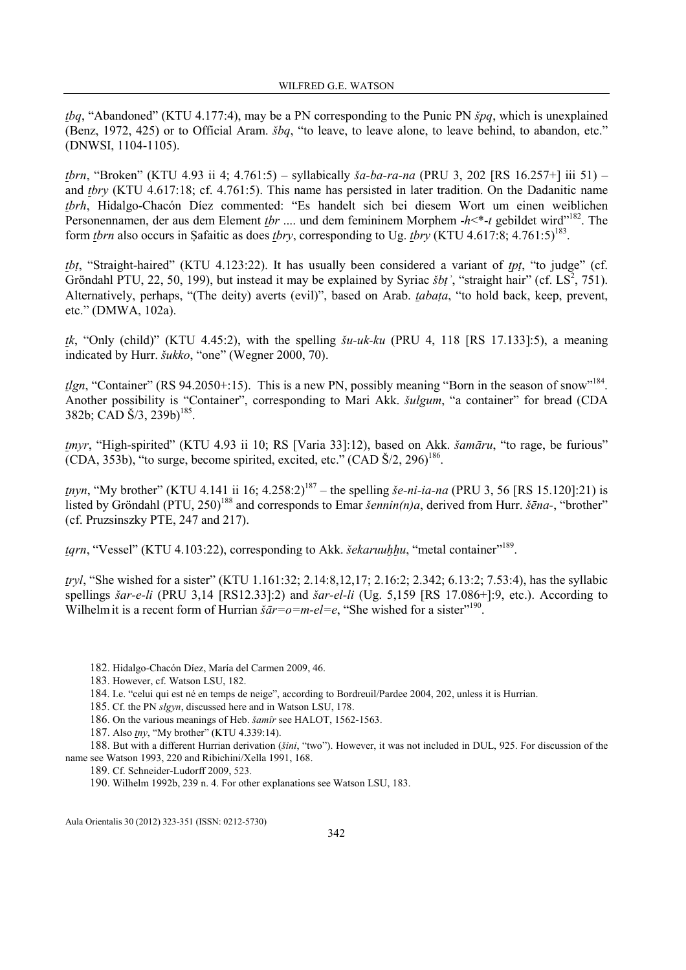tbq, "Abandoned" (KTU 4.177:4), may be a PN corresponding to the Punic PN špq, which is unexplained (Benz, 1972, 425) or to Official Aram. šbq, "to leave, to leave alone, to leave behind, to abandon, etc." (DNWSI, 1104-1105).

tbrn, "Broken" (KTU 4.93 ii 4; 4.761:5) – syllabically ša-ba-ra-na (PRU 3, 202 [RS 16.257+] iii 51) – and tbry (KTU 4.617:18; cf. 4.761:5). This name has persisted in later tradition. On the Dadanitic name tbrh, Hidalgo-Chacón Díez commented: "Es handelt sich bei diesem Wort um einen weiblichen Personennamen, der aus dem Element tbr .... und dem femininem Morphem  $-h<sup>*</sup>-t$  gebildet wird"<sup>182</sup>. The form *thrn* also occurs in Safaitic as does *thry*, corresponding to Ug. *thry* (KTU 4.617:8; 4.761:5)<sup>183</sup>.

tbt, "Straight-haired" (KTU 4.123:22). It has usually been considered a variant of tpt, "to judge" (cf. Gröndahl PTU, 22, 50, 199), but instead it may be explained by Syriac  $\check{s}bt'$ , "straight hair" (cf. LS<sup>2</sup>, 751). Alternatively, perhaps, "(The deity) averts (evil)", based on Arab. *tabata*, "to hold back, keep, prevent, etc." (DMWA, 102a).

tk, "Only (child)" (KTU 4.45:2), with the spelling  $\delta u$ -uk-ku (PRU 4, 118 [RS 17.133]:5), a meaning indicated by Hurr. šukko, "one" (Wegner 2000, 70).

 $t\ell gn$ , "Container" (RS 94.2050+:15). This is a new PN, possibly meaning "Born in the season of snow"<sup>184</sup>. Another possibility is "Container", corresponding to Mari Akk. šulgum, "a container" for bread (CDA  $382b$ ; CAD  $\check{S}/3$ ,  $239b$ )<sup>185</sup>.

tmyr, "High-spirited" (KTU 4.93 ii 10; RS [Varia 33]:12), based on Akk. šamāru, "to rage, be furious"  $(CDA, 353b)$ , "to surge, become spirited, excited, etc."  $(CAD \check{S}/2, 296)^{186}$ .

tnyn, "My brother" (KTU 4.141 ii 16;  $4.258:2$ )<sup>187</sup> – the spelling *še-ni-ia-na* (PRU 3, 56 [RS 15.120]:21) is listed by Gröndahl (PTU, 250)<sup>188</sup> and corresponds to Emar šennin(n)a, derived from Hurr. šēna-, "brother" (cf. Pruzsinszky PTE, 247 and 217).

*tgrn*, "Vessel" (KTU 4.103:22), corresponding to Akk. *šekaruuhhu*, "metal container"<sup>189</sup>.

tryl, "She wished for a sister" (KTU 1.161:32; 2.14:8,12,17; 2.16:2; 2.342; 6.13:2; 7.53:4), has the syllabic spellings  $\check{g}$  sar-e-li (PRU 3,14 [RS12.33]:2) and  $\check{g}$  are el-li (Ug. 5,159 [RS 17.086+]:9, etc.). According to Wilhelm it is a recent form of Hurrian  $\bar{\varepsilon}a = -m - e = e$ , "She wished for a sister"<sup>190</sup>.

- 183. However, cf. Watson LSU, 182.
- 184. I.e. "celui qui est né en temps de neige", according to Bordreuil/Pardee 2004, 202, unless it is Hurrian.
- 185. Cf. the PN slgyn, discussed here and in Watson LSU, 178.

186. On the various meanings of Heb. šamîr see HALOT, 1562-1563.

187. Also *tny*, "My brother" (KTU 4.339:14).

188. But with a different Hurrian derivation (šini, "two"). However, it was not included in DUL, 925. For discussion of the name see Watson 1993, 220 and Ribichini/Xella 1991, 168.

189. Cf. Schneider-Ludorff 2009, 523.

190. Wilhelm 1992b, 239 n. 4. For other explanations see Watson LSU, 183.

<sup>182</sup>. Hidalgo-Chacón Díez, María del Carmen 2009, 46.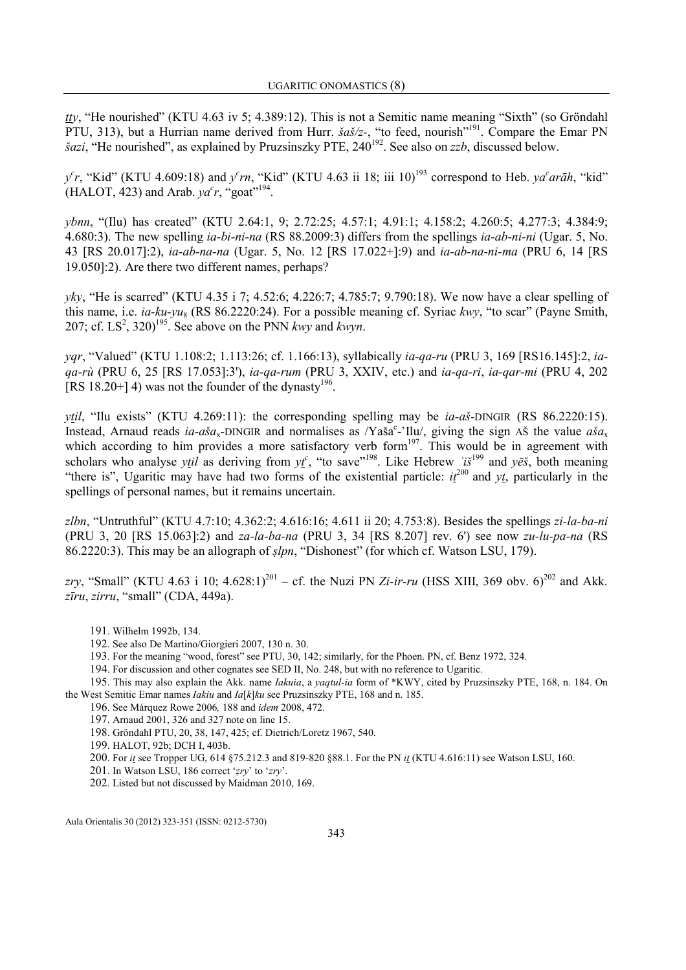tty, "He nourished" (KTU 4.63 iv 5; 4.389:12). This is not a Semitic name meaning "Sixth" (so Gröndahl PTU, 313), but a Hurrian name derived from Hurr.  $\frac{\partial \alpha}{\partial z}$ , "to feed, nourish"<sup>191</sup>. Compare the Emar PN  $\delta$ azi, "He nourished", as explained by Pruzsinszky PTE, 240<sup>192</sup>. See also on *zzb*, discussed below.

 $y^c r$ , "Kid" (KTU 4.609:18) and  $y^c r n$ , "Kid" (KTU 4.63 ii 18; iii 10)<sup>193</sup> correspond to Heb.  $ya^c ar\bar{a}h$ , "kid" (HALOT, 423) and Arab.  $ya^c r$ , "goat"<sup>194</sup>.

ybnn, "(Ilu) has created" (KTU 2.64:1, 9; 2.72:25; 4.57:1; 4.91:1; 4.158:2; 4.260:5; 4.277:3; 4.384:9; 4.680:3). The new spelling ia-bi-ni-na (RS 88.2009:3) differs from the spellings ia-ab-ni-ni (Ugar. 5, No. 43 [RS 20.017]:2), ia-ab-na-na (Ugar. 5, No. 12 [RS 17.022+]:9) and ia-ab-na-ni-ma (PRU 6, 14 [RS 19.050]:2). Are there two different names, perhaps?

yky, "He is scarred" (KTU 4.35 i 7; 4.52:6; 4.226:7; 4.785:7; 9.790:18). We now have a clear spelling of this name, i.e. ia-ku-yu<sub>8</sub> (RS 86.2220:24). For a possible meaning cf. Syriac kwy, "to scar" (Payne Smith, 207; cf. LS<sup>2</sup>, 320)<sup>195</sup>. See above on the PNN kwy and kwyn.

yqr, "Valued" (KTU 1.108:2; 1.113:26; cf. 1.166:13), syllabically ia-qa-ru (PRU 3, 169 [RS16.145]:2, iaqa-rù (PRU 6, 25 [RS 17.053]:3'), ia-qa-rum (PRU 3, XXIV, etc.) and ia-qa-ri, ia-qar-mi (PRU 4, 202 [RS 18.20+] 4) was not the founder of the dynasty<sup>196</sup>.

*ytil*, "Ilu exists" (KTU 4.269:11): the corresponding spelling may be *ia-aš*-DINGIR (RS 86.2220:15). Instead, Arnaud reads ia-aša<sub>x</sub>-DINGIR and normalises as /Yaša<sup>c</sup>-'Ilu/, giving the sign AŠ the value aša<sub>x</sub> which according to him provides a more satisfactory verb form $197$ . This would be in agreement with scholars who analyse ytil as deriving from  $y_t^c$ , "to save"<sup>198</sup>. Like Hebrew  $i\ddot{s}^{199}$  and  $y\ddot{e}\dot{s}$ , both meaning "there is", Ugaritic may have had two forms of the existential particle:  $i\ell^{200}$  and  $y\ell$ , particularly in the spellings of personal names, but it remains uncertain.

zlbn, "Untruthful" (KTU 4.7:10; 4.362:2; 4.616:16; 4.611 ii 20; 4.753:8). Besides the spellings zi-la-ba-ni (PRU 3, 20 [RS 15.063]:2) and  $za$ -la-ba-na (PRU 3, 34 [RS 8.207] rev. 6') see now  $zu$ -lu-pa-na (RS 86.2220:3). This may be an allograph of  $slpn$ , "Dishonest" (for which cf. Watson LSU, 179).

zry, "Small" (KTU 4.63 i 10; 4.628:1)<sup>201</sup> – cf. the Nuzi PN Zi-ir-ru (HSS XIII, 369 obv. 6)<sup>202</sup> and Akk. zīru, zirru, "small" (CDA, 449a).

- 191. Wilhelm 1992b, 134.
- 192. See also De Martino/Giorgieri 2007, 130 n. 30.
- 193. For the meaning "wood, forest" see PTU, 30, 142; similarly, for the Phoen. PN, cf. Benz 1972, 324.
- 194. For discussion and other cognates see SED II, No. 248, but with no reference to Ugaritic.

195. This may also explain the Akk. name Iakuia, a yaqtul-ia form of \*KWY, cited by Pruzsinszky PTE, 168, n. 184. On the West Semitic Emar names Iakiu and Ia[k]ku see Pruzsinszky PTE, 168 and n. 185.

196. See Márquez Rowe 2006, 188 and idem 2008, 472.

197. Arnaud 2001, 326 and 327 note on line 15.

198. Gröndahl PTU, 20, 38, 147, 425; cf. Dietrich/Loretz 1967, 540.

199. HALOT, 92b; DCH I, 403b.

200. For it see Tropper UG, 614 §75.212.3 and 819-820 §88.1. For the PN it (KTU 4.616:11) see Watson LSU, 160.

201. In Watson LSU, 186 correct 'ẓry' to 'zry'.

202. Listed but not discussed by Maidman 2010, 169.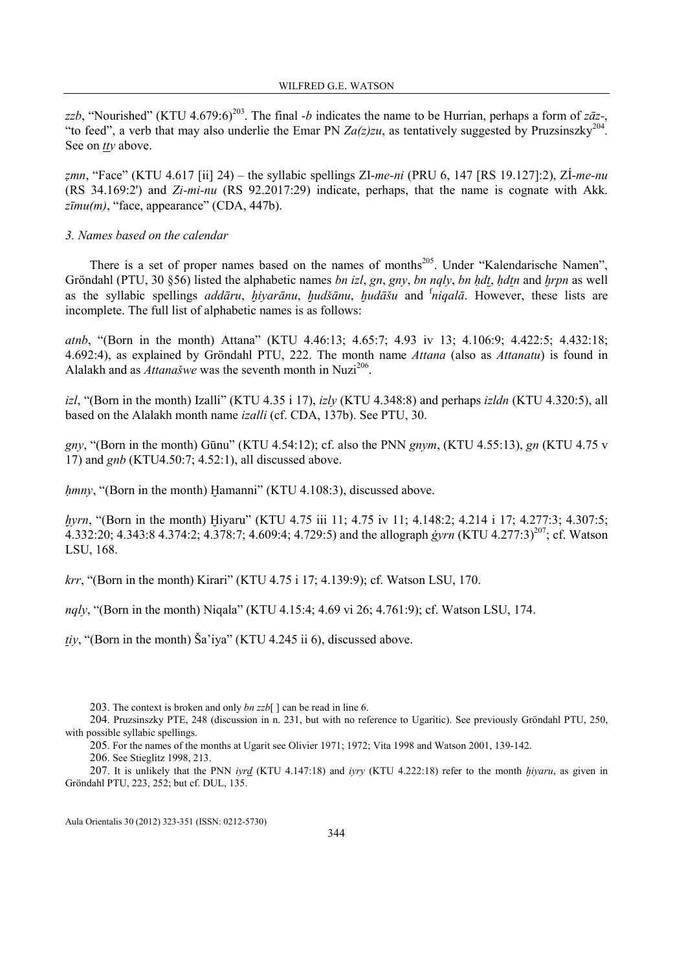zzb, "Nourished" (KTU 4.679:6)<sup>203</sup>. The final -b indicates the name to be Hurrian, perhaps a form of z $\bar{a}z$ -, "to feed", a verb that may also underlie the Emar PN  $Za(z)zu$ , as tentatively suggested by Pruzsinszky<sup>204</sup>. See on *tty* above.

zmn, "Face" (KTU 4.617 [ii] 24) – the syllabic spellings ZI-me-ni (PRU 6, 147 [RS 19.127]:2), ZI-me-nu (RS 34.169:2') and Zi-mi-nu (RS 92.2017:29) indicate, perhaps, that the name is cognate with Akk.  $z\bar{u}mu(m)$ , "face, appearance" (CDA, 447b).

#### 3. Names based on the calendar

There is a set of proper names based on the names of months<sup>205</sup>. Under "Kalendarische Namen", Gröndahl (PTU, 30  $\S56$ ) listed the alphabetic names *bn izl, gn, gny, bn nqly, bn hdt, hdtn* and *hrpn* as well as the syllabic spellings *addāru*,  $hi\gamma$ *nivarānu*,  $hud\tilde{a}$ *nu,*  $hud\tilde{a}$ *šu* and  $\tilde{h}$ *ingalā*. However, these lists are incomplete. The full list of alphabetic names is as follows:

atnb, "(Born in the month) Attana" (KTU 4.46:13; 4.65:7; 4.93 iv 13; 4.106:9; 4.422:5; 4.432:18; 4.692:4), as explained by Gröndahl PTU, 222. The month name Attana (also as Attanatu) is found in Alalakh and as *Attanašwe* was the seventh month in Nuzi<sup>206</sup>.

izl, "(Born in the month) Izalli" (KTU 4.35 i 17), izly (KTU 4.348:8) and perhaps izldn (KTU 4.320:5), all based on the Alalakh month name izalli (cf. CDA, 137b). See PTU, 30.

gny, "(Born in the month) Gūnu" (KTU 4.54:12); cf. also the PNN gnym, (KTU 4.55:13), gn (KTU 4.75 v 17) and gnb (KTU4.50:7; 4.52:1), all discussed above.

hmny, "(Born in the month) Hamanni" (KTU 4.108:3), discussed above.

hyrn, "(Born in the month) Hiyaru" (KTU 4.75 iii 11; 4.75 iv 11; 4.148:2; 4.214 i 17; 4.277:3; 4.307:5; 4.332:20; 4.343:8 4.374:2; 4.378:7; 4.609:4; 4.729:5) and the allograph *ġyrn* (KTU 4.277:3)<sup>207</sup>; cf. Watson LSU, 168.

krr, "(Born in the month) Kirari" (KTU 4.75 i 17; 4.139:9); cf. Watson LSU, 170.

nqly, "(Born in the month) Niqala" (KTU 4.15:4; 4.69 vi 26; 4.761:9); cf. Watson LSU, 174.

tiy, "(Born in the month) Ša'iya" (KTU 4.245 ii 6), discussed above.

205. For the names of the months at Ugarit see Olivier 1971; 1972; Vita 1998 and Watson 2001, 139-142.

206. See Stieglitz 1998, 213.

207. It is unlikely that the PNN iyrd (KTU 4.147:18) and iyry (KTU 4.222:18) refer to the month  $hiyaru$ , as given in Gröndahl PTU, 223, 252; but cf. DUL, 135.

<sup>203.</sup> The context is broken and only  $bn \, zzb$   $\vert$   $\vert$  can be read in line 6.

<sup>204</sup>. Pruzsinszky PTE, 248 (discussion in n. 231, but with no reference to Ugaritic). See previously Gröndahl PTU, 250, with possible syllabic spellings.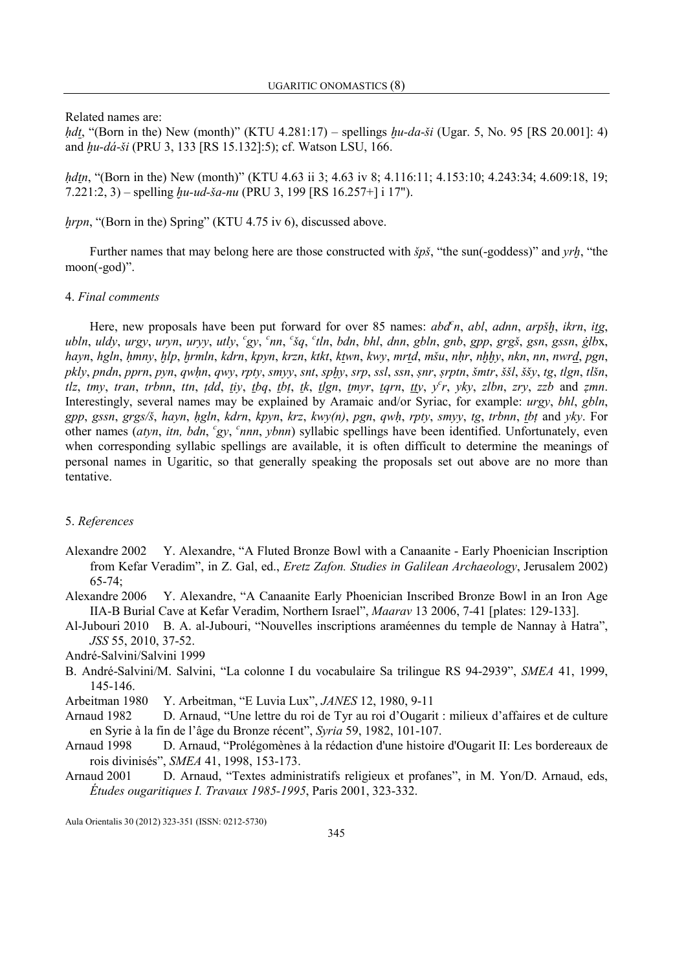Related names are:

*hdt*, "(Born in the) New (month)" (KTU 4.281:17) – spellings  $hu-da-si$  (Ugar. 5, No. 95 [RS 20.001]: 4) and *hu-dá-ši* (PRU 3, 133 [RS 15.132]:5); cf. Watson LSU, 166.

hdtn, "(Born in the) New (month)" (KTU 4.63 ii 3; 4.63 iv 8; 4.116:11; 4.153:10; 4.243:34; 4.609:18, 19;  $7.221:2, 3$  – spelling  $hu$ -ud-ša-nu (PRU 3, 199 [RS 16.257+] i 17").

# hrpn, "(Born in the) Spring" (KTU 4.75 iv 6), discussed above.

Further names that may belong here are those constructed with  $\delta p\delta$ , "the sun(-goddess)" and *yrh*, "the moon(-god)".

# 4. Final comments

Here, new proposals have been put forward for over 85 names:  $abd<sup>c</sup>n$ , abl, adnn, arpš $h$ , ikrn, itg, ubln, uldy, urgy, uryn, uryy, utly, <sup>c</sup>gy, <sup>c</sup>nn, <sup>c</sup>šq, <sup>c</sup>tln, bdn, bhl, dnn, gbln, gnb, gpp, grgš, gsn, gssn, ġlbx, hayn, hgln, ḥmny, ḥlp, ḥrmln, kdrn, kpyn, krzn, ktkt, ktwn, kwy, mrtd, mšu, nḥr, nḥḥy, nkn, nn, nwrd, pgn, pkly, pndn, pprn, pyn, qwḥn, qwy, rpty, smyy, snt, sphy, srp, ssl, ssn, ṣnr, ṣrptn, šmtr, ššl, ššy, tg, tlgn, tlšn, tlz, tmy, tran, trbnn, ttn, tdd, tiy, tbq, tbt, tk, tlgn, tmyr, tqrn, tty,  $y^c r$ , yky, zlbn, zry, zzb and zmn. Interestingly, several names may be explained by Aramaic and/or Syriac, for example: urgy, bhl, gbln, gpp, gssn, grgs/š, hayn, hgln, kdrn, kpyn, krz, kwy(n), pgn, qwh, rpty, smyy, tg, trbnn, tbt and yky. For other names (atyn, itn, bdn, 'gy, 'nnn, ybnn) syllabic spellings have been identified. Unfortunately, even when corresponding syllabic spellings are available, it is often difficult to determine the meanings of personal names in Ugaritic, so that generally speaking the proposals set out above are no more than tentative.

## 5. References

- Alexandre 2002 Y. Alexandre, "A Fluted Bronze Bowl with a Canaanite Early Phoenician Inscription from Kefar Veradim", in Z. Gal, ed., Eretz Zafon. Studies in Galilean Archaeology, Jerusalem 2002)  $65-74$ ;
- Alexandre 2006 Y. Alexandre, "A Canaanite Early Phoenician Inscribed Bronze Bowl in an Iron Age IIA-B Burial Cave at Kefar Veradim, Northern Israel", Maarav 13 2006, 7-41 [plates: 129-133].
- Al-Jubouri 2010 B. A. al-Jubouri, "Nouvelles inscriptions araméennes du temple de Nannay à Hatra", JSS 55, 2010, 37-52.

André-Salvini/Salvini 1999

- B. André-Salvini/M. Salvini, "La colonne I du vocabulaire Sa trilingue RS 94-2939", SMEA 41, 1999, 145-146.
- Arbeitman 1980 Y. Arbeitman, "E Luvia Lux", *JANES* 12, 1980, 9-11
- Arnaud 1982 D. Arnaud, "Une lettre du roi de Tyr au roi d'Ougarit : milieux d'affaires et de culture en Syrie à la fin de l'âge du Bronze récent", Syria 59, 1982, 101-107.
- Arnaud 1998 D. Arnaud, "Prolégomènes à la rédaction d'une histoire d'Ougarit II: Les bordereaux de rois divinisés", SMEA 41, 1998, 153-173.
- Arnaud 2001 D. Arnaud, "Textes administratifs religieux et profanes", in M. Yon/D. Arnaud, eds, Études ougaritiques I. Travaux 1985-1995, Paris 2001, 323-332.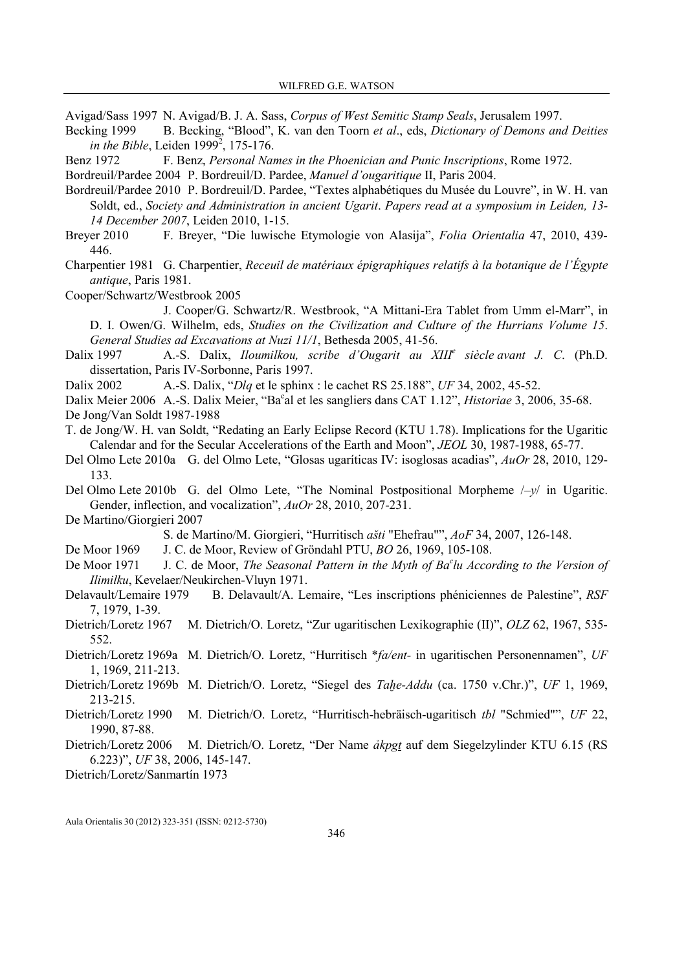Avigad/Sass 1997 N. Avigad/B. J. A. Sass, Corpus of West Semitic Stamp Seals, Jerusalem 1997.

Becking 1999 B. Becking, "Blood", K. van den Toorn et al., eds, Dictionary of Demons and Deities in the Bible, Leiden  $1999^2$ , 175-176.

Benz 1972 F. Benz, *Personal Names in the Phoenician and Punic Inscriptions*, Rome 1972.

- Bordreuil/Pardee 2004 P. Bordreuil/D. Pardee, Manuel d'ougaritique II, Paris 2004.
- Bordreuil/Pardee 2010 P. Bordreuil/D. Pardee, "Textes alphabétiques du Musée du Louvre", in W. H. van Soldt, ed., Society and Administration in ancient Ugarit. Papers read at a symposium in Leiden, 13- 14 December 2007, Leiden 2010, 1-15.
- Breyer 2010 F. Breyer, "Die luwische Etymologie von Alasija", Folia Orientalia 47, 2010, 439- 446.
- Charpentier 1981 G. Charpentier, Receuil de matériaux épigraphiques relatifs à la botanique de l'Égypte antique, Paris 1981.

Cooper/Schwartz/Westbrook 2005

 J. Cooper/G. Schwartz/R. Westbrook, "A Mittani-Era Tablet from Umm el-Marr", in D. I. Owen/G. Wilhelm, eds, Studies on the Civilization and Culture of the Hurrians Volume 15. General Studies ad Excavations at Nuzi 11/1, Bethesda 2005, 41-56.

Dalix 1997 A.-S. Dalix, *Iloumilkou, scribe d'Ougarit au XIII<sup>e</sup> siècle avant J. C.* (Ph.D. dissertation, Paris IV-Sorbonne, Paris 1997.

Dalix 2002 A.-S. Dalix, "Dlq et le sphinx : le cachet RS 25.188", UF 34, 2002, 45-52.

Dalix Meier 2006 A.-S. Dalix Meier, "Ba<sup>c</sup>al et les sangliers dans CAT 1.12", *Historiae* 3, 2006, 35-68. De Jong/Van Soldt 1987-1988

T. de Jong/W. H. van Soldt, "Redating an Early Eclipse Record (KTU 1.78). Implications for the Ugaritic Calendar and for the Secular Accelerations of the Earth and Moon", JEOL 30, 1987-1988, 65-77.

- Del Olmo Lete 2010a G. del Olmo Lete, "Glosas ugaríticas IV: isoglosas acadias", AuOr 28, 2010, 129- 133.
- Del Olmo Lete 2010b G. del Olmo Lete, "The Nominal Postpositional Morpheme /–y/ in Ugaritic. Gender, inflection, and vocalization", AuOr 28, 2010, 207-231.

De Martino/Giorgieri 2007

S. de Martino/M. Giorgieri, "Hurritisch ašti "Ehefrau"", AoF 34, 2007, 126-148.

De Moor 1969 J. C. de Moor, Review of Gröndahl PTU, BO 26, 1969, 105-108.

- De Moor 1971  $\blacksquare$  J. C. de Moor, The Seasonal Pattern in the Myth of Ba<sup>c</sup>lu According to the Version of Ilimilku, Kevelaer/Neukirchen-Vluyn 1971.
- Delavault/Lemaire 1979 B. Delavault/A. Lemaire, "Les inscriptions phéniciennes de Palestine", RSF 7, 1979, 1-39.
- Dietrich/Loretz 1967 M. Dietrich/O. Loretz, "Zur ugaritischen Lexikographie (II)", OLZ 62, 1967, 535- 552.
- Dietrich/Loretz 1969a M. Dietrich/O. Loretz, "Hurritisch \*fa/ent- in ugaritischen Personennamen", UF 1, 1969, 211-213.
- Dietrich/Loretz 1969b M. Dietrich/O. Loretz, "Siegel des Taḥe-Addu (ca. 1750 v.Chr.)", UF 1, 1969, 213-215.
- Dietrich/Loretz 1990 M. Dietrich/O. Loretz, "Hurritisch-hebräisch-ugaritisch tbl "Schmied"", UF 22, 1990, 87-88.
- Dietrich/Loretz 2006 M. Dietrich/O. Loretz, "Der Name ảkpgt auf dem Siegelzylinder KTU 6.15 (RS 6.223)", UF 38, 2006, 145-147.

Dietrich/Loretz/Sanmartín 1973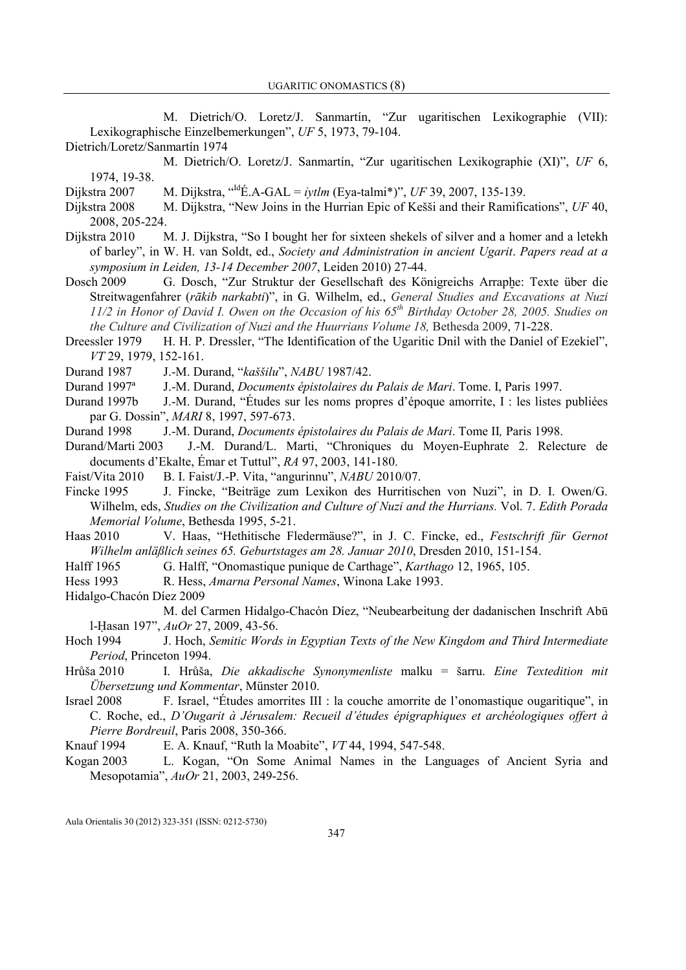M. Dietrich/O. Loretz/J. Sanmartín, "Zur ugaritischen Lexikographie (VII): Lexikographische Einzelbemerkungen", UF 5, 1973, 79-104. Dietrich/Loretz/Sanmartín 1974

 M. Dietrich/O. Loretz/J. Sanmartín, "Zur ugaritischen Lexikographie (XI)", UF 6, 1974, 19-38.

Dijkstra 2007 M. Dijkstra, "<sup>Id</sup>É.A-GAL = *ivtlm* (Eya-talmi\*)", UF 39, 2007, 135-139.

- Dijkstra 2008 M. Dijkstra, "New Joins in the Hurrian Epic of Kešši and their Ramifications", UF 40, 2008, 205-224.
- Dijkstra 2010 M. J. Dijkstra, "So I bought her for sixteen shekels of silver and a homer and a letekh of barley", in W. H. van Soldt, ed., Society and Administration in ancient Ugarit. Papers read at a symposium in Leiden, 13-14 December 2007, Leiden 2010) 27-44.
- Dosch 2009 G. Dosch, "Zur Struktur der Gesellschaft des Königreichs Arraphe: Texte über die Streitwagenfahrer (rākib narkabti)", in G. Wilhelm, ed., General Studies and Excavations at Nuzi 11/2 in Honor of David I. Owen on the Occasion of his 65<sup>th</sup> Birthday October 28, 2005. Studies on the Culture and Civilization of Nuzi and the Huurrians Volume 18, Bethesda 2009,  $71-228$ .
- Dreessler 1979 H. H. P. Dressler, "The Identification of the Ugaritic Dnil with the Daniel of Ezekiel", VT 29, 1979, 152-161.

Durand 1987 J.-M. Durand, "kaššilu", NABU 1987/42.

Durand 1997ª J.-M. Durand, Documents épistolaires du Palais de Mari. Tome. I, Paris 1997.

Durand 1997b J.-M. Durand, "Études sur les noms propres d'époque amorrite, I : les listes publiées par G. Dossin", MARI 8, 1997, 597-673.

Durand 1998 J.-M. Durand, Documents épistolaires du Palais de Mari. Tome II, Paris 1998.

Durand/Marti 2003 J.-M. Durand/L. Marti, "Chroniques du Moyen-Euphrate 2. Relecture de documents d'Ekalte, Émar et Tuttul", RA 97, 2003, 141-180.

Faist/Vita 2010 B. I. Faist/J.-P. Vita, "angurinnu", NABU 2010/07.

Fincke 1995 J. Fincke, "Beiträge zum Lexikon des Hurritischen von Nuzi", in D. I. Owen/G. Wilhelm, eds, Studies on the Civilization and Culture of Nuzi and the Hurrians. Vol. 7. Edith Porada Memorial Volume, Bethesda 1995, 5-21.

Haas 2010 V. Haas, "Hethitische Fledermäuse?", in J. C. Fincke, ed., Festschrift für Gernot Wilhelm anläßlich seines 65. Geburtstages am 28. Januar 2010, Dresden 2010, 151-154.

Halff 1965 G. Halff, "Onomastique punique de Carthage", Karthago 12, 1965, 105.

Hess 1993 R. Hess, *Amarna Personal Names*, Winona Lake 1993.

Hidalgo-Chacón Díez 2009

 M. del Carmen Hidalgo-Chacón Díez, "Neubearbeitung der dadanischen Inschrift Abū l-Ḥasan 197", AuOr 27, 2009, 43-56.

- Hoch 1994 J. Hoch, Semitic Words in Egyptian Texts of the New Kingdom and Third Intermediate Period, Princeton 1994.
- Hrůša 2010 I. Hrůša, Die akkadische Synonymenliste malku = šarru. Eine Textedition mit Übersetzung und Kommentar, Münster 2010.
- Israel 2008 F. Israel, "Études amorrites III : la couche amorrite de l'onomastique ougaritique", in C. Roche, ed., D'Ougarit à Jérusalem: Recueil d'études épigraphiques et archéologiques offert à Pierre Bordreuil, Paris 2008, 350-366.
- Knauf 1994 E. A. Knauf, "Ruth la Moabite", VT 44, 1994, 547-548.
- Kogan 2003 L. Kogan, "On Some Animal Names in the Languages of Ancient Syria and Mesopotamia", AuOr 21, 2003, 249-256.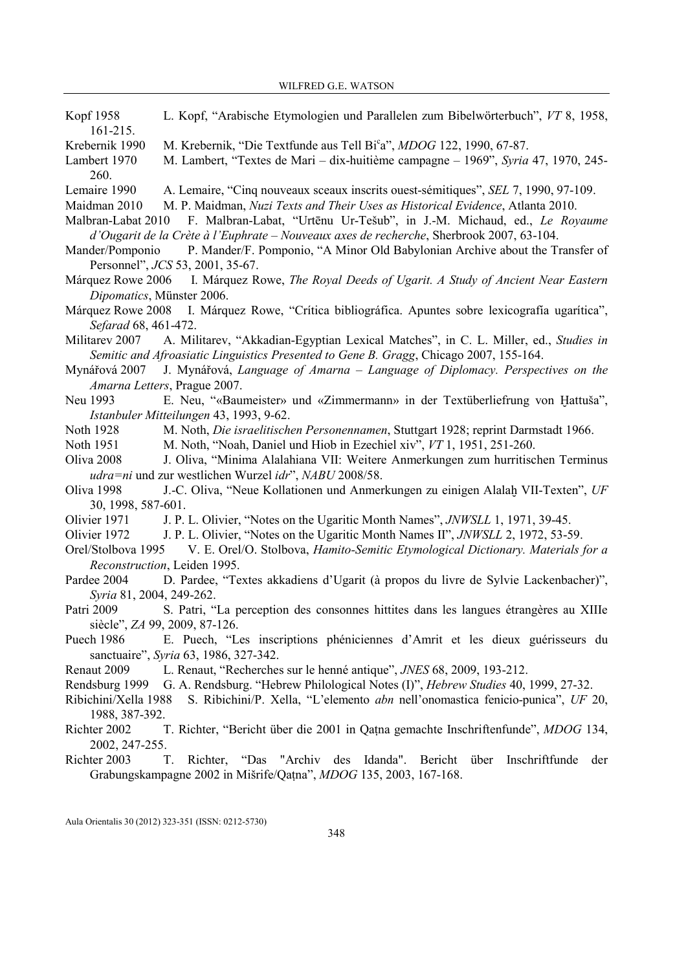- Kopf 1958 L. Kopf, "Arabische Etymologien und Parallelen zum Bibelwörterbuch", VT 8, 1958, 161-215.
- Krebernik 1990 M. Krebernik, "Die Textfunde aus Tell Bi°a", MDOG 122, 1990, 67-87.
- Lambert 1970 M. Lambert, "Textes de Mari dix-huitième campagne 1969", Syria 47, 1970, 245- 260.
- Lemaire 1990 A. Lemaire, "Cinq nouveaux sceaux inscrits ouest-sémitiques", SEL 7, 1990, 97-109.
- Maidman 2010 M. P. Maidman, Nuzi Texts and Their Uses as Historical Evidence, Atlanta 2010.
- Malbran-Labat 2010 F. Malbran-Labat, "Urtēnu Ur-Tešub", in J.-M. Michaud, ed., Le Royaume d'Ougarit de la Crète à l'Euphrate – Touveaux axes de recherche, Sherbrook 2007, 63-104.
- Mander/Pomponio P. Mander/F. Pomponio, "A Minor Old Babylonian Archive about the Transfer of Personnel", JCS 53, 2001, 35-67.
- Márquez Rowe 2006 I. Márquez Rowe, The Royal Deeds of Ugarit. A Study of Ancient Near Eastern Dipomatics, Münster 2006.
- Márquez Rowe 2008 I. Márquez Rowe, "Crítica bibliográfica. Apuntes sobre lexicografía ugarítica", Sefarad 68, 461-472.
- Militarev 2007 A. Militarev, "Akkadian-Egyptian Lexical Matches", in C. L. Miller, ed., Studies in Semitic and Afroasiatic Linguistics Presented to Gene B. Gragg, Chicago 2007, 155-164.
- Mynářová 2007 J. Mynářová, Language of Amarna Language of Diplomacy. Perspectives on the Amarna Letters, Prague 2007.
- Neu 1993 E. Neu, "«Baumeister» und «Zimmermann» in der Textüberliefrung von Hattuša", Istanbuler Mitteilungen 43, 1993, 9-62.
- Noth 1928 M. Noth, Die israelitischen Personennamen, Stuttgart 1928; reprint Darmstadt 1966.
- Noth 1951 M. Noth, "Noah, Daniel und Hiob in Ezechiel xiv", VT 1, 1951, 251-260.
- Oliva 2008 J. Oliva, "Minima Alalahiana VII: Weitere Anmerkungen zum hurritischen Terminus udra=ni und zur westlichen Wurzel idr", NABU 2008/58.
- Oliva 1998 J.-C. Oliva, "Neue Kollationen und Anmerkungen zu einigen Alalaḫ VII-Texten", UF 30, 1998, 587-601.
- Olivier 1971 J. P. L. Olivier, "Notes on the Ugaritic Month Names", JNWSLL 1, 1971, 39-45.
- Olivier 1972 J. P. L. Olivier, "Notes on the Ugaritic Month Names II", *JNWSLL* 2, 1972, 53-59.
- Orel/Stolbova 1995 V. E. Orel/O. Stolbova, Hamito-Semitic Etymological Dictionary. Materials for a Reconstruction, Leiden 1995.
- Pardee 2004 D. Pardee, "Textes akkadiens d'Ugarit (à propos du livre de Sylvie Lackenbacher)", Syria 81, 2004, 249-262.
- Patri 2009 S. Patri, "La perception des consonnes hittites dans les langues étrangères au XIIIe siècle", ZA 99, 2009, 87-126.
- Puech 1986 E. Puech, "Les inscriptions phéniciennes d'Amrit et les dieux guérisseurs du sanctuaire", Syria 63, 1986, 327-342.
- Renaut 2009 L. Renaut, "Recherches sur le henné antique", JNES 68, 2009, 193-212.
- Rendsburg 1999 G. A. Rendsburg. "Hebrew Philological Notes (I)", Hebrew Studies 40, 1999, 27-32.
- Ribichini/Xella 1988 S. Ribichini/P. Xella, "L'elemento abn nell'onomastica fenicio-punica", UF 20, 1988, 387-392.
- Richter 2002 T. Richter, "Bericht über die 2001 in Qaṭna gemachte Inschriftenfunde", MDOG 134, 2002, 247-255.
- Richter 2003 T. Richter, "Das "Archiv des Idanda". Bericht über Inschriftfunde der Grabungskampagne 2002 in Mišrife/Qaṭna", MDOG 135, 2003, 167-168.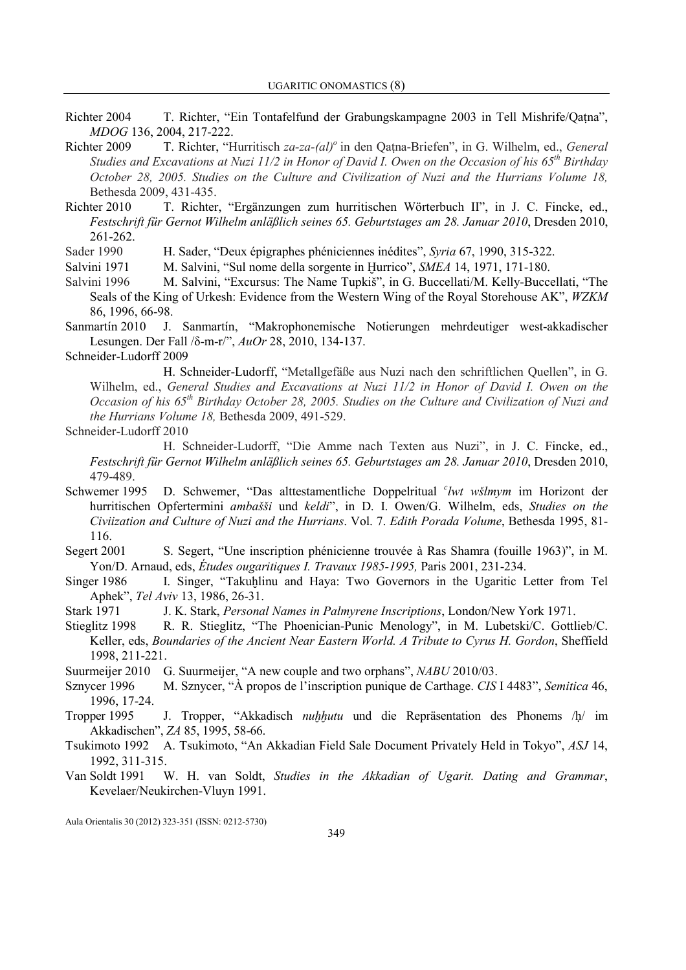- Richter 2004 T. Richter, "Ein Tontafelfund der Grabungskampagne 2003 in Tell Mishrife/Qatna", MDOG 136, 2004, 217-222.
- Richter 2009 T. Richter, "Hurritisch za-za-(al)<sup>o</sup> in den Qatna-Briefen", in G. Wilhelm, ed., General Studies and Excavations at Nuzi 11/2 in Honor of David I. Owen on the Occasion of his  $65<sup>th</sup>$  Birthday October 28, 2005. Studies on the Culture and Civilization of Nuzi and the Hurrians Volume 18, Bethesda 2009, 431-435.
- Richter 2010 T. Richter, "Ergänzungen zum hurritischen Wörterbuch II", in J. C. Fincke, ed., Festschrift für Gernot Wilhelm anläßlich seines 65. Geburtstages am 28. Januar 2010, Dresden 2010, 261-262.

Sader 1990 H. Sader, "Deux épigraphes phéniciennes inédites", Syria 67, 1990, 315-322.

Salvini 1971 M. Salvini, "Sul nome della sorgente in Hurrico", SMEA 14, 1971, 171-180.

Salvini 1996 M. Salvini, "Excursus: The Name Tupkiš", in G. Buccellati/M. Kelly-Buccellati, "The Seals of the King of Urkesh: Evidence from the Western Wing of the Royal Storehouse AK", WZKM 86, 1996, 66-98.

Sanmartín 2010 J. Sanmartín, "Makrophonemische Notierungen mehrdeutiger west-akkadischer Lesungen. Der Fall /δ-m-r/", AuOr 28, 2010, 134-137.

### Schneider-Ludorff 2009

 H. Schneider-Ludorff, "Metallgefäße aus Nuzi nach den schriftlichen Quellen", in G. Wilhelm, ed., General Studies and Excavations at Nuzi 11/2 in Honor of David I. Owen on the Occasion of his  $65<sup>th</sup>$  Birthday October 28, 2005. Studies on the Culture and Civilization of Nuzi and the Hurrians Volume 18, Bethesda 2009, 491-529.

#### Schneider-Ludorff 2010

 H. Schneider-Ludorff, "Die Amme nach Texten aus Nuzi", in J. C. Fincke, ed., Festschrift für Gernot Wilhelm anläßlich seines 65. Geburtstages am 28. Januar 2010, Dresden 2010, 479-489.

- Schwemer 1995 D. Schwemer, "Das alttestamentliche Doppelritual 'lwt wšlmym im Horizont der hurritischen Opfertermini ambašši und keldi", in D. I. Owen/G. Wilhelm, eds, Studies on the Civiization and Culture of Nuzi and the Hurrians. Vol. 7. Edith Porada Volume, Bethesda 1995, 81-116.
- Segert 2001 S. Segert, "Une inscription phénicienne trouvée à Ras Shamra (fouille 1963)", in M. Yon/D. Arnaud, eds, Études ougaritiques I. Travaux 1985-1995, Paris 2001, 231-234.
- Singer 1986 I. Singer, "Takuhlinu and Haya: Two Governors in the Ugaritic Letter from Tel Aphek", Tel Aviv 13, 1986, 26-31.
- Stark 1971 J. K. Stark, *Personal Names in Palmyrene Inscriptions*, London/New York 1971.
- Stieglitz 1998 R. R. Stieglitz, "The Phoenician-Punic Menology", in M. Lubetski/C. Gottlieb/C. Keller, eds, Boundaries of the Ancient Near Eastern World. A Tribute to Cyrus H. Gordon, Sheffield 1998, 211-221.
- Suurmeijer 2010 G. Suurmeijer, "A new couple and two orphans", NABU 2010/03.
- Sznycer 1996 M. Sznycer, "À propos de l'inscription punique de Carthage. CIS I 4483", Semitica 46, 1996, 17-24.
- Tropper 1995 J. Tropper, "Akkadisch *nuhhutu* und die Repräsentation des Phonems /ḥ/ im Akkadischen", ZA 85, 1995, 58-66.
- Tsukimoto 1992 A. Tsukimoto, "An Akkadian Field Sale Document Privately Held in Tokyo", ASJ 14, 1992, 311-315.
- Van Soldt 1991 W. H. van Soldt, Studies in the Akkadian of Ugarit. Dating and Grammar, Kevelaer/Neukirchen-Vluyn 1991.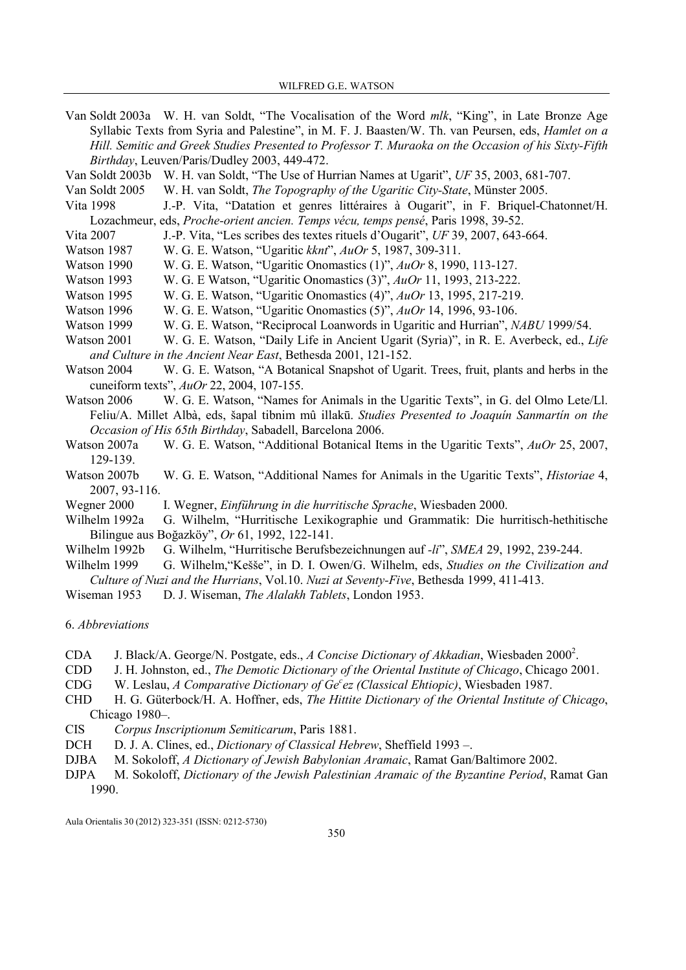- Van Soldt 2003a W. H. van Soldt, "The Vocalisation of the Word mlk, "King", in Late Bronze Age Syllabic Texts from Syria and Palestine", in M. F. J. Baasten/W. Th. van Peursen, eds, Hamlet on a Hill. Semitic and Greek Studies Presented to Professor T. Muraoka on the Occasion of his Sixty-Fifth Birthday, Leuven/Paris/Dudley 2003, 449-472.
- Van Soldt 2003b W. H. van Soldt, "The Use of Hurrian Names at Ugarit", UF 35, 2003, 681-707.
- Van Soldt 2005 W. H. van Soldt, The Topography of the Ugaritic City-State, Münster 2005.
- Vita 1998 J.-P. Vita, "Datation et genres littéraires à Ougarit", in F. Briquel-Chatonnet/H. Lozachmeur, eds, Proche-orient ancien. Temps vécu, temps pensé, Paris 1998, 39-52.
- Vita 2007 J.-P. Vita, "Les scribes des textes rituels d'Ougarit", UF 39, 2007, 643-664.
- Watson 1987 W. G. E. Watson, "Ugaritic kknt", AuOr 5, 1987, 309-311.
- Watson 1990 W. G. E. Watson, "Ugaritic Onomastics (1)", AuOr 8, 1990, 113-127.
- Watson 1993 W. G. E Watson, "Ugaritic Onomastics (3)", AuOr 11, 1993, 213-222.
- Watson 1995 W. G. E. Watson, "Ugaritic Onomastics (4)", AuOr 13, 1995, 217-219.
- Watson 1996 W. G. E. Watson, "Ugaritic Onomastics (5)", AuOr 14, 1996, 93-106.
- Watson 1999 W. G. E. Watson, "Reciprocal Loanwords in Ugaritic and Hurrian", NABU 1999/54.
- Watson 2001 W. G. E. Watson, "Daily Life in Ancient Ugarit (Syria)", in R. E. Averbeck, ed., Life and Culture in the Ancient Near East, Bethesda 2001, 121-152.
- Watson 2004 W. G. E. Watson, "A Botanical Snapshot of Ugarit. Trees, fruit, plants and herbs in the cuneiform texts", AuOr 22, 2004, 107-155.
- Watson 2006 W. G. E. Watson, "Names for Animals in the Ugaritic Texts", in G. del Olmo Lete/Ll. Feliu/A. Millet Albà, eds, šapal tibnim mû illakū. Studies Presented to Joaquín Sanmartín on the Occasion of His 65th Birthday, Sabadell, Barcelona 2006.
- Watson 2007a W. G. E. Watson, "Additional Botanical Items in the Ugaritic Texts", AuOr 25, 2007, 129-139.
- Watson 2007b W. G. E. Watson, "Additional Names for Animals in the Ugaritic Texts", *Historiae* 4, 2007, 93-116.
- Wegner 2000 I. Wegner, Einführung in die hurritische Sprache, Wiesbaden 2000.
- Wilhelm 1992a G. Wilhelm, "Hurritische Lexikographie und Grammatik: Die hurritisch-hethitische Bilingue aus Boğazköy", Or 61, 1992, 122-141.
- Wilhelm 1992b G. Wilhelm, "Hurritische Berufsbezeichnungen auf -li", SMEA 29, 1992, 239-244.
- Wilhelm 1999 G. Wilhelm, "Kešše", in D. I. Owen/G. Wilhelm, eds. Studies on the Civilization and Culture of Nuzi and the Hurrians, Vol.10. Nuzi at Seventy-Five, Bethesda 1999, 411-413.
- Wiseman 1953 D. J. Wiseman, The Alalakh Tablets, London 1953.

6. Abbreviations

- CDA J. Black/A. George/N. Postgate, eds., A Concise Dictionary of Akkadian, Wiesbaden 2000<sup>2</sup>.
- CDD J. H. Johnston, ed., The Demotic Dictionary of the Oriental Institute of Chicago, Chicago 2001.
- CDG W. Leslau, A Comparative Dictionary of  $Ge^c$ ez (Classical Ehtiopic), Wiesbaden 1987.
- CHD H. G. Güterbock/H. A. Hoffner, eds, The Hittite Dictionary of the Oriental Institute of Chicago, Chicago 1980–.
- CIS Corpus Inscriptionum Semiticarum, Paris 1881.
- DCH D. J. A. Clines, ed., *Dictionary of Classical Hebrew*, Sheffield 1993 –.
- DJBA M. Sokoloff, A Dictionary of Jewish Babylonian Aramaic, Ramat Gan/Baltimore 2002.
- DJPA M. Sokoloff, Dictionary of the Jewish Palestinian Aramaic of the Byzantine Period, Ramat Gan 1990.